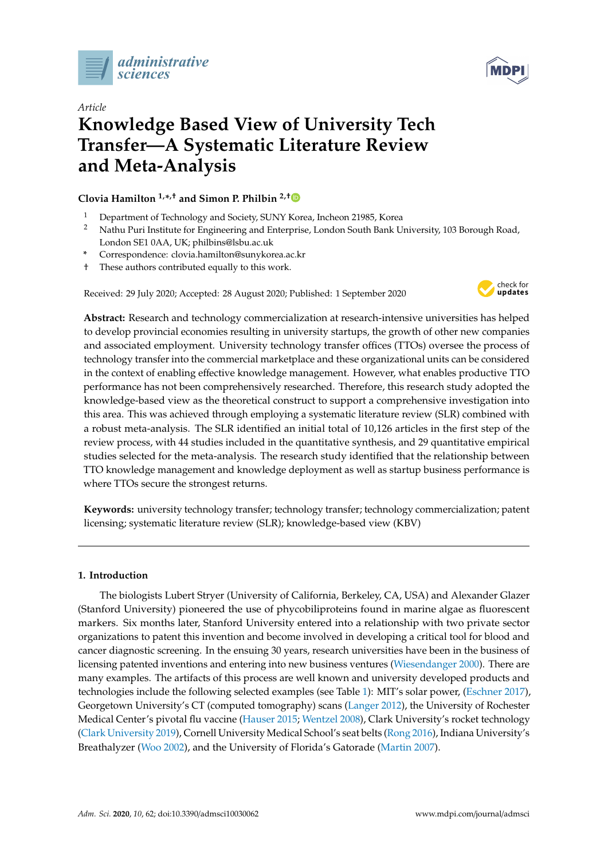



# *Article* **Knowledge Based View of University Tech Transfer—A Systematic Literature Review and Meta-Analysis**

# **Clovia Hamilton 1,\* ,**† **and Simon P. Philbin 2,**[†](https://orcid.org/0000-0001-8456-3342)

- <sup>1</sup> Department of Technology and Society, SUNY Korea, Incheon 21985, Korea
- <sup>2</sup> Nathu Puri Institute for Engineering and Enterprise, London South Bank University, 103 Borough Road, London SE1 0AA, UK; philbins@lsbu.ac.uk
- **\*** Correspondence: clovia.hamilton@sunykorea.ac.kr
- † These authors contributed equally to this work.

Received: 29 July 2020; Accepted: 28 August 2020; Published: 1 September 2020



**Abstract:** Research and technology commercialization at research-intensive universities has helped to develop provincial economies resulting in university startups, the growth of other new companies and associated employment. University technology transfer offices (TTOs) oversee the process of technology transfer into the commercial marketplace and these organizational units can be considered in the context of enabling effective knowledge management. However, what enables productive TTO performance has not been comprehensively researched. Therefore, this research study adopted the knowledge-based view as the theoretical construct to support a comprehensive investigation into this area. This was achieved through employing a systematic literature review (SLR) combined with a robust meta-analysis. The SLR identified an initial total of 10,126 articles in the first step of the review process, with 44 studies included in the quantitative synthesis, and 29 quantitative empirical studies selected for the meta-analysis. The research study identified that the relationship between TTO knowledge management and knowledge deployment as well as startup business performance is where TTOs secure the strongest returns.

**Keywords:** university technology transfer; technology transfer; technology commercialization; patent licensing; systematic literature review (SLR); knowledge-based view (KBV)

# **1. Introduction**

The biologists Lubert Stryer (University of California, Berkeley, CA, USA) and Alexander Glazer (Stanford University) pioneered the use of phycobiliproteins found in marine algae as fluorescent markers. Six months later, Stanford University entered into a relationship with two private sector organizations to patent this invention and become involved in developing a critical tool for blood and cancer diagnostic screening. In the ensuing 30 years, research universities have been in the business of licensing patented inventions and entering into new business ventures [\(Wiesendanger](#page-26-0) [2000\)](#page-26-0). There are many examples. The artifacts of this process are well known and university developed products and technologies include the following selected examples (see Table [1\)](#page-1-0): MIT's solar power, [\(Eschner](#page-23-0) [2017\)](#page-23-0), Georgetown University's CT (computed tomography) scans [\(Langer](#page-25-0) [2012\)](#page-25-0), the University of Rochester Medical Center's pivotal flu vaccine [\(Hauser](#page-24-0) [2015;](#page-24-0) [Wentzel](#page-26-1) [2008\)](#page-26-1), Clark University's rocket technology [\(Clark University](#page-22-0) [2019\)](#page-22-0), Cornell University Medical School's seat belts [\(Rong](#page-26-2) [2016\)](#page-26-2), Indiana University's Breathalyzer [\(Woo](#page-27-0) [2002\)](#page-27-0), and the University of Florida's Gatorade [\(Martin](#page-25-1) [2007\)](#page-25-1).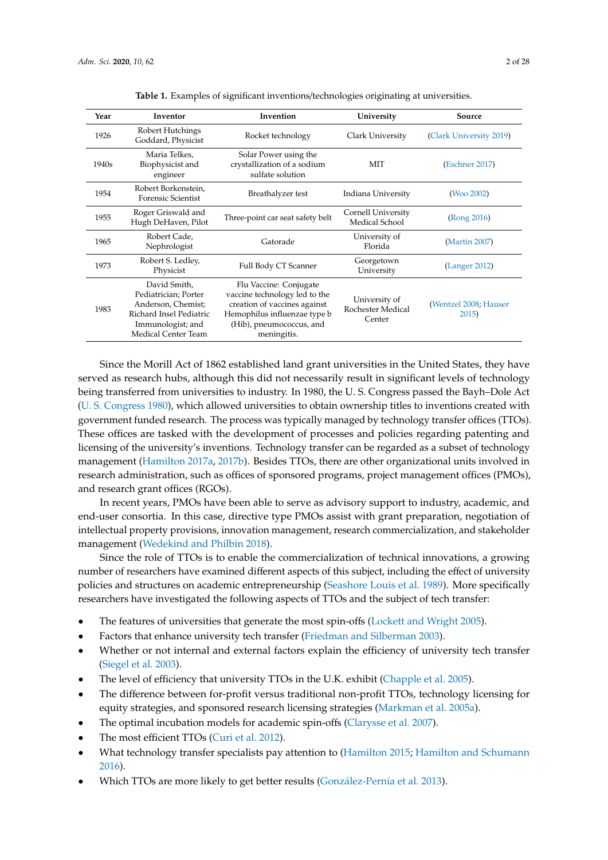<span id="page-1-0"></span>

| Year              | Inventor                                                                                                                          | Invention                                                                                                                                                          | University                                   | Source                         |  |
|-------------------|-----------------------------------------------------------------------------------------------------------------------------------|--------------------------------------------------------------------------------------------------------------------------------------------------------------------|----------------------------------------------|--------------------------------|--|
| 1926              | Robert Hutchings<br>Goddard, Physicist                                                                                            | Rocket technology                                                                                                                                                  | Clark University                             | (Clark University 2019)        |  |
| 1940 <sub>s</sub> | Maria Telkes.<br>Biophysicist and<br>engineer                                                                                     | Solar Power using the<br>crystallization of a sodium<br>sulfate solution                                                                                           | <b>MIT</b>                                   | (Eschner 2017)                 |  |
| 1954              | Robert Borkenstein,<br><b>Forensic Scientist</b>                                                                                  | Breathalyzer test                                                                                                                                                  | Indiana University<br>(Woo 2002)             |                                |  |
| 1955              | Roger Griswald and<br>Hugh DeHaven, Pilot                                                                                         | Three-point car seat safety belt                                                                                                                                   | Cornell University<br>Medical School         | (Rong 2016)                    |  |
| 1965              | Robert Cade,<br>Nephrologist                                                                                                      | Gatorade                                                                                                                                                           | University of<br>Florida                     | (Martin 2007)                  |  |
| 1973              | Robert S. Ledley,<br>Physicist                                                                                                    | Full Body CT Scanner                                                                                                                                               | Georgetown<br>University                     | (Langer 2012)                  |  |
| 1983              | David Smith,<br>Pediatrician; Porter<br>Anderson, Chemist;<br>Richard Insel Pediatric<br>Immunologist; and<br>Medical Center Team | Flu Vaccine: Conjugate<br>vaccine technology led to the<br>creation of vaccines against<br>Hemophilus influenzae type b<br>(Hib), pneumococcus, and<br>meningitis. | University of<br>Rochester Medical<br>Center | (Wentzel 2008; Hauser<br>2015) |  |

**Table 1.** Examples of significant inventions/technologies originating at universities.

Since the Morill Act of 1862 established land grant universities in the United States, they have served as research hubs, although this did not necessarily result in significant levels of technology being transferred from universities to industry. In 1980, the U. S. Congress passed the Bayh–Dole Act [\(U. S. Congress](#page-26-3) [1980\)](#page-26-3), which allowed universities to obtain ownership titles to inventions created with government funded research. The process was typically managed by technology transfer offices (TTOs). These offices are tasked with the development of processes and policies regarding patenting and licensing of the university's inventions. Technology transfer can be regarded as a subset of technology management [\(Hamilton](#page-23-1) [2017a,](#page-23-1) [2017b\)](#page-24-1). Besides TTOs, there are other organizational units involved in research administration, such as offices of sponsored programs, project management offices (PMOs), and research grant offices (RGOs).

In recent years, PMOs have been able to serve as advisory support to industry, academic, and end-user consortia. In this case, directive type PMOs assist with grant preparation, negotiation of intellectual property provisions, innovation management, research commercialization, and stakeholder management [\(Wedekind and Philbin](#page-26-4) [2018\)](#page-26-4).

Since the role of TTOs is to enable the commercialization of technical innovations, a growing number of researchers have examined different aspects of this subject, including the effect of university policies and structures on academic entrepreneurship [\(Seashore Louis et al.](#page-26-5) [1989\)](#page-26-5). More specifically researchers have investigated the following aspects of TTOs and the subject of tech transfer:

- The features of universities that generate the most spin-offs [\(Lockett and Wright](#page-25-2) [2005\)](#page-25-2).
- Factors that enhance university tech transfer [\(Friedman and Silberman](#page-23-2) [2003\)](#page-23-2).
- Whether or not internal and external factors explain the efficiency of university tech transfer [\(Siegel et al.](#page-26-6) [2003\)](#page-26-6).
- The level of efficiency that university TTOs in the U.K. exhibit [\(Chapple et al.](#page-22-1) [2005\)](#page-22-1).
- The difference between for-profit versus traditional non-profit TTOs, technology licensing for equity strategies, and sponsored research licensing strategies [\(Markman et al.](#page-25-3) [2005a\)](#page-25-3).
- The optimal incubation models for academic spin-offs [\(Clarysse et al.](#page-22-2) [2007\)](#page-22-2).
- The most efficient TTOs [\(Curi et al.](#page-23-3) [2012\)](#page-23-3).
- What technology transfer specialists pay attention to [\(Hamilton](#page-23-4) [2015;](#page-23-4) [Hamilton and Schumann](#page-24-2) [2016\)](#page-24-2).
- Which TTOs are more likely to get better results (Gonzá[lez-Pern](#page-23-5)ía et al. [2013\)](#page-23-5).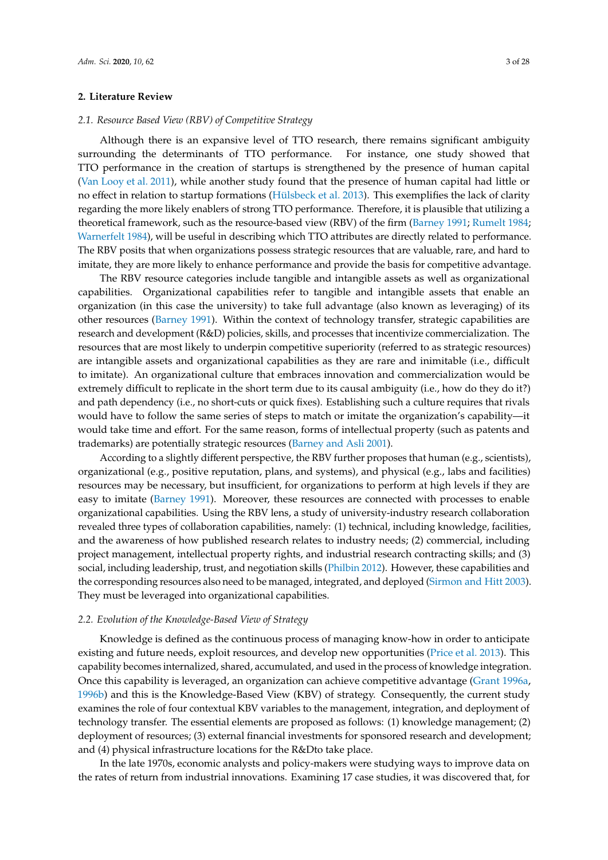#### **2. Literature Review**

# *2.1. Resource Based View (RBV) of Competitive Strategy*

Although there is an expansive level of TTO research, there remains significant ambiguity surrounding the determinants of TTO performance. For instance, one study showed that TTO performance in the creation of startups is strengthened by the presence of human capital [\(Van Looy et al.](#page-26-7) [2011\)](#page-26-7), while another study found that the presence of human capital had little or no effect in relation to startup formations [\(Hülsbeck et al.](#page-24-3) [2013\)](#page-24-3). This exemplifies the lack of clarity regarding the more likely enablers of strong TTO performance. Therefore, it is plausible that utilizing a theoretical framework, such as the resource-based view (RBV) of the firm [\(Barney](#page-21-0) [1991;](#page-21-0) [Rumelt](#page-26-8) [1984;](#page-26-8) [Warnerfelt](#page-26-9) [1984\)](#page-26-9), will be useful in describing which TTO attributes are directly related to performance. The RBV posits that when organizations possess strategic resources that are valuable, rare, and hard to imitate, they are more likely to enhance performance and provide the basis for competitive advantage.

The RBV resource categories include tangible and intangible assets as well as organizational capabilities. Organizational capabilities refer to tangible and intangible assets that enable an organization (in this case the university) to take full advantage (also known as leveraging) of its other resources [\(Barney](#page-21-0) [1991\)](#page-21-0). Within the context of technology transfer, strategic capabilities are research and development (R&D) policies, skills, and processes that incentivize commercialization. The resources that are most likely to underpin competitive superiority (referred to as strategic resources) are intangible assets and organizational capabilities as they are rare and inimitable (i.e., difficult to imitate). An organizational culture that embraces innovation and commercialization would be extremely difficult to replicate in the short term due to its causal ambiguity (i.e., how do they do it?) and path dependency (i.e., no short-cuts or quick fixes). Establishing such a culture requires that rivals would have to follow the same series of steps to match or imitate the organization's capability—it would take time and effort. For the same reason, forms of intellectual property (such as patents and trademarks) are potentially strategic resources [\(Barney and Asli](#page-22-3) [2001\)](#page-22-3).

According to a slightly different perspective, the RBV further proposes that human (e.g., scientists), organizational (e.g., positive reputation, plans, and systems), and physical (e.g., labs and facilities) resources may be necessary, but insufficient, for organizations to perform at high levels if they are easy to imitate [\(Barney](#page-21-0) [1991\)](#page-21-0). Moreover, these resources are connected with processes to enable organizational capabilities. Using the RBV lens, a study of university-industry research collaboration revealed three types of collaboration capabilities, namely: (1) technical, including knowledge, facilities, and the awareness of how published research relates to industry needs; (2) commercial, including project management, intellectual property rights, and industrial research contracting skills; and (3) social, including leadership, trust, and negotiation skills [\(Philbin](#page-25-4) [2012\)](#page-25-4). However, these capabilities and the corresponding resources also need to be managed, integrated, and deployed [\(Sirmon and Hitt](#page-26-10) [2003\)](#page-26-10). They must be leveraged into organizational capabilities.

# *2.2. Evolution of the Knowledge-Based View of Strategy*

Knowledge is defined as the continuous process of managing know-how in order to anticipate existing and future needs, exploit resources, and develop new opportunities [\(Price et al.](#page-25-5) [2013\)](#page-25-5). This capability becomes internalized, shared, accumulated, and used in the process of knowledge integration. Once this capability is leveraged, an organization can achieve competitive advantage [\(Grant](#page-23-6) [1996a,](#page-23-6) [1996b\)](#page-23-7) and this is the Knowledge-Based View (KBV) of strategy. Consequently, the current study examines the role of four contextual KBV variables to the management, integration, and deployment of technology transfer. The essential elements are proposed as follows: (1) knowledge management; (2) deployment of resources; (3) external financial investments for sponsored research and development; and (4) physical infrastructure locations for the R&Dto take place.

In the late 1970s, economic analysts and policy-makers were studying ways to improve data on the rates of return from industrial innovations. Examining 17 case studies, it was discovered that, for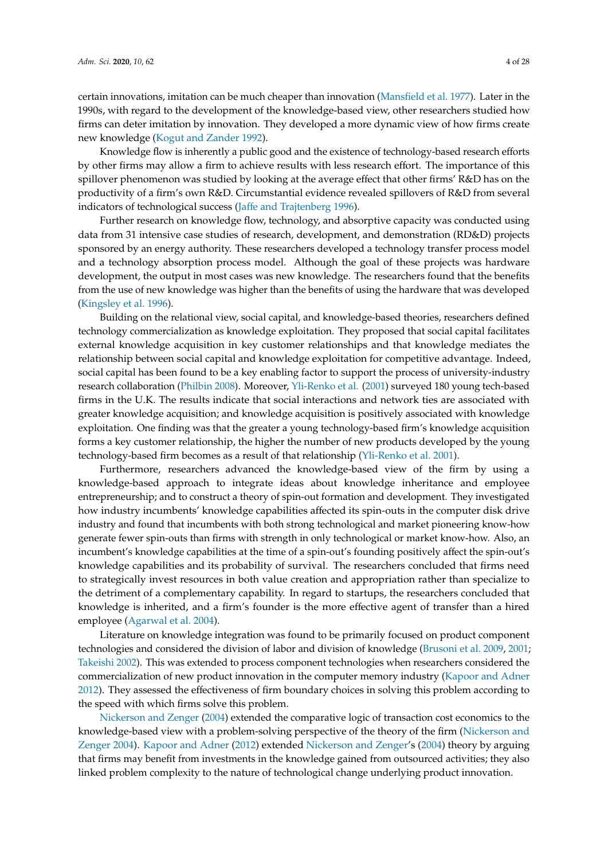certain innovations, imitation can be much cheaper than innovation [\(Mansfield et al.](#page-25-6) [1977\)](#page-25-6). Later in the 1990s, with regard to the development of the knowledge-based view, other researchers studied how firms can deter imitation by innovation. They developed a more dynamic view of how firms create

new knowledge [\(Kogut and Zander](#page-24-4) [1992\)](#page-24-4).

Knowledge flow is inherently a public good and the existence of technology-based research efforts by other firms may allow a firm to achieve results with less research effort. The importance of this spillover phenomenon was studied by looking at the average effect that other firms' R&D has on the productivity of a firm's own R&D. Circumstantial evidence revealed spillovers of R&D from several indicators of technological success (Jaff[e and Trajtenberg](#page-24-5) [1996\)](#page-24-5).

Further research on knowledge flow, technology, and absorptive capacity was conducted using data from 31 intensive case studies of research, development, and demonstration (RD&D) projects sponsored by an energy authority. These researchers developed a technology transfer process model and a technology absorption process model. Although the goal of these projects was hardware development, the output in most cases was new knowledge. The researchers found that the benefits from the use of new knowledge was higher than the benefits of using the hardware that was developed [\(Kingsley et al.](#page-24-6) [1996\)](#page-24-6).

Building on the relational view, social capital, and knowledge-based theories, researchers defined technology commercialization as knowledge exploitation. They proposed that social capital facilitates external knowledge acquisition in key customer relationships and that knowledge mediates the relationship between social capital and knowledge exploitation for competitive advantage. Indeed, social capital has been found to be a key enabling factor to support the process of university-industry research collaboration [\(Philbin](#page-25-7) [2008\)](#page-25-7). Moreover, [Yli-Renko et al.](#page-27-1) [\(2001\)](#page-27-1) surveyed 180 young tech-based firms in the U.K. The results indicate that social interactions and network ties are associated with greater knowledge acquisition; and knowledge acquisition is positively associated with knowledge exploitation. One finding was that the greater a young technology-based firm's knowledge acquisition forms a key customer relationship, the higher the number of new products developed by the young technology-based firm becomes as a result of that relationship [\(Yli-Renko et al.](#page-27-1) [2001\)](#page-27-1).

Furthermore, researchers advanced the knowledge-based view of the firm by using a knowledge-based approach to integrate ideas about knowledge inheritance and employee entrepreneurship; and to construct a theory of spin-out formation and development. They investigated how industry incumbents' knowledge capabilities affected its spin-outs in the computer disk drive industry and found that incumbents with both strong technological and market pioneering know-how generate fewer spin-outs than firms with strength in only technological or market know-how. Also, an incumbent's knowledge capabilities at the time of a spin-out's founding positively affect the spin-out's knowledge capabilities and its probability of survival. The researchers concluded that firms need to strategically invest resources in both value creation and appropriation rather than specialize to the detriment of a complementary capability. In regard to startups, the researchers concluded that knowledge is inherited, and a firm's founder is the more effective agent of transfer than a hired employee [\(Agarwal et al.](#page-21-1) [2004\)](#page-21-1).

Literature on knowledge integration was found to be primarily focused on product component technologies and considered the division of labor and division of knowledge [\(Brusoni et al.](#page-22-4) [2009,](#page-22-4) [2001;](#page-22-5) [Takeishi](#page-26-11) [2002\)](#page-26-11). This was extended to process component technologies when researchers considered the commercialization of new product innovation in the computer memory industry [\(Kapoor and Adner](#page-24-7) [2012\)](#page-24-7). They assessed the effectiveness of firm boundary choices in solving this problem according to the speed with which firms solve this problem.

[Nickerson and Zenger](#page-25-8) [\(2004\)](#page-25-8) extended the comparative logic of transaction cost economics to the knowledge-based view with a problem-solving perspective of the theory of the firm [\(Nickerson and](#page-25-8) [Zenger](#page-25-8) [2004\)](#page-25-8). [Kapoor and Adner](#page-24-7) [\(2012\)](#page-24-7) extended [Nickerson and Zenger'](#page-25-8)s [\(2004\)](#page-25-8) theory by arguing that firms may benefit from investments in the knowledge gained from outsourced activities; they also linked problem complexity to the nature of technological change underlying product innovation.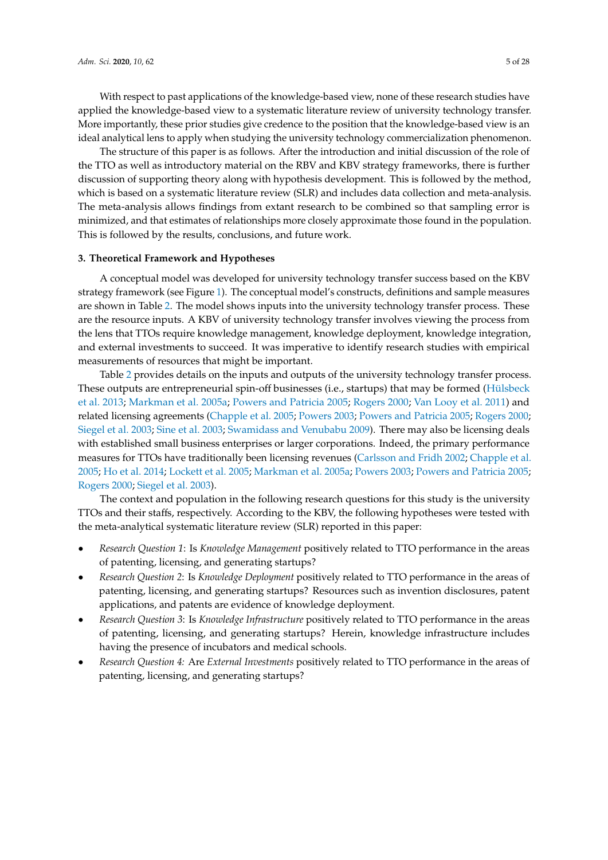With respect to past applications of the knowledge-based view, none of these research studies have applied the knowledge-based view to a systematic literature review of university technology transfer. More importantly, these prior studies give credence to the position that the knowledge-based view is an ideal analytical lens to apply when studying the university technology commercialization phenomenon.

The structure of this paper is as follows. After the introduction and initial discussion of the role of the TTO as well as introductory material on the RBV and KBV strategy frameworks, there is further discussion of supporting theory along with hypothesis development. This is followed by the method, which is based on a systematic literature review (SLR) and includes data collection and meta-analysis. The meta-analysis allows findings from extant research to be combined so that sampling error is minimized, and that estimates of relationships more closely approximate those found in the population. This is followed by the results, conclusions, and future work.

# **3. Theoretical Framework and Hypotheses**

A conceptual model was developed for university technology transfer success based on the KBV strategy framework (see Figure [1\)](#page-5-0). The conceptual model's constructs, definitions and sample measures are shown in Table [2.](#page-6-0) The model shows inputs into the university technology transfer process. These are the resource inputs. A KBV of university technology transfer involves viewing the process from the lens that TTOs require knowledge management, knowledge deployment, knowledge integration, and external investments to succeed. It was imperative to identify research studies with empirical measurements of resources that might be important.

Table [2](#page-6-0) provides details on the inputs and outputs of the university technology transfer process. These outputs are entrepreneurial spin-off businesses (i.e., startups) that may be formed [\(Hülsbeck](#page-24-3) [et al.](#page-24-3) [2013;](#page-24-3) [Markman et al.](#page-25-3) [2005a;](#page-25-3) [Powers and Patricia](#page-25-9) [2005;](#page-25-9) [Rogers](#page-25-10) [2000;](#page-25-10) [Van Looy et al.](#page-26-7) [2011\)](#page-26-7) and related licensing agreements [\(Chapple et al.](#page-22-1) [2005;](#page-22-1) [Powers](#page-25-11) [2003;](#page-25-11) [Powers and Patricia](#page-25-9) [2005;](#page-25-9) [Rogers](#page-25-10) [2000;](#page-25-10) [Siegel et al.](#page-26-6) [2003;](#page-26-6) [Sine et al.](#page-26-12) [2003;](#page-26-12) [Swamidass and Venubabu](#page-26-13) [2009\)](#page-26-13). There may also be licensing deals with established small business enterprises or larger corporations. Indeed, the primary performance measures for TTOs have traditionally been licensing revenues [\(Carlsson and Fridh](#page-22-6) [2002;](#page-22-6) [Chapple et al.](#page-22-1) [2005;](#page-22-1) [Ho et al.](#page-24-8) [2014;](#page-24-8) [Lockett et al.](#page-25-12) [2005;](#page-25-12) [Markman et al.](#page-25-3) [2005a;](#page-25-3) [Powers](#page-25-11) [2003;](#page-25-11) [Powers and Patricia](#page-25-9) [2005;](#page-25-9) [Rogers](#page-25-10) [2000;](#page-25-10) [Siegel et al.](#page-26-6) [2003\)](#page-26-6).

The context and population in the following research questions for this study is the university TTOs and their staffs, respectively. According to the KBV, the following hypotheses were tested with the meta-analytical systematic literature review (SLR) reported in this paper:

- *Research Question 1*: Is *Knowledge Management* positively related to TTO performance in the areas of patenting, licensing, and generating startups?
- *Research Question 2*: Is *Knowledge Deployment* positively related to TTO performance in the areas of patenting, licensing, and generating startups? Resources such as invention disclosures, patent applications, and patents are evidence of knowledge deployment.
- *Research Question 3*: Is *Knowledge Infrastructure* positively related to TTO performance in the areas of patenting, licensing, and generating startups? Herein, knowledge infrastructure includes having the presence of incubators and medical schools.
- *Research Question 4:* Are *External Investments* positively related to TTO performance in the areas of patenting, licensing, and generating startups?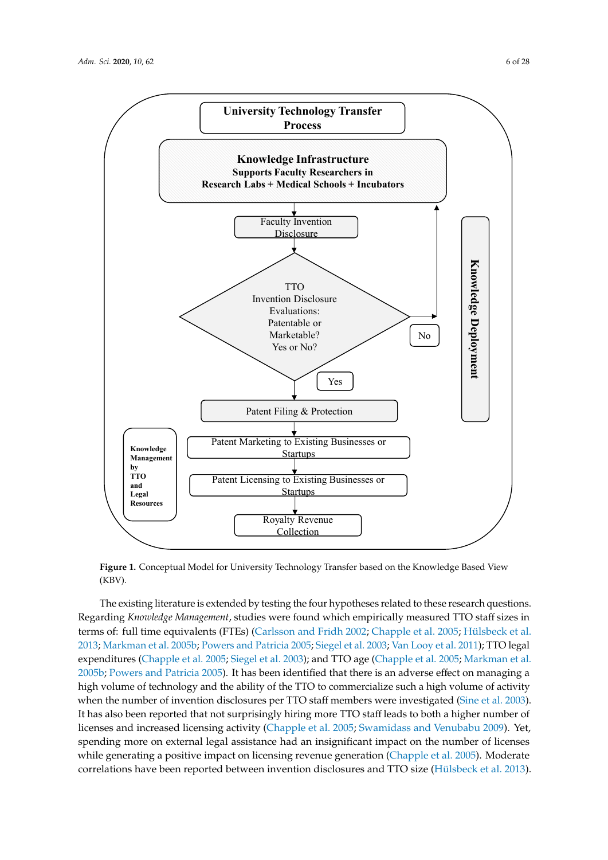<span id="page-5-0"></span>

**Figure 1.** Conceptual Model for University Technology Transfer based on the Knowledge Based View **Figure 1.** Conceptual Model for University Technology Transfer based on the Knowledge Based View (KBV). (KBV).

The existing literature is extended by testing the four hypotheses related to these research questions. Regarding *Knowledge Management*, studies were found which empirically measured TTO staff sizes in terms of: full time equivalents (FTEs) [\(Carlsson and Fridh](#page-22-6) [2002;](#page-22-6) [Chapple et al.](#page-22-1) [2005;](#page-22-1) [Hülsbeck et al.](#page-24-3) [2013;](#page-24-3) [Markman et al.](#page-25-13) [2005b;](#page-25-13) [Powers and Patricia](#page-25-9) [2005;](#page-25-9) [Siegel et al.](#page-26-6) [2003;](#page-26-6) [Van Looy et al.](#page-26-7) [2011\)](#page-26-7); TTO legal expenditures [\(Chapple et al.](#page-22-1) [2005;](#page-22-1) [Siegel et al.](#page-26-6) [2003\)](#page-26-6); and TTO age [\(Chapple et al.](#page-22-1) [2005;](#page-22-1) [Markman et al.](#page-25-13) [2005b;](#page-25-13) [Powers and Patricia](#page-25-9) [2005\)](#page-25-9). It has been identified that there is an adverse effect on managing a high volume of technology and the ability of the TTO to commercialize such a high volume of activity when the number of invention disclosures per TTO staff members were investigated [\(Sine et al.](#page-26-12) [2003\)](#page-26-12). It has also been reported that not surprisingly hiring more TTO staff leads to both a higher number of licenses and increased licensing activity [\(Chapple et al.](#page-22-1) [2005;](#page-22-1) [Swamidass and Venubabu](#page-26-13) [2009\)](#page-26-13). Yet, spending more on external legal assistance had an insignificant impact on the number of licenses while generating a positive impact on licensing revenue generation [\(Chapple et al.](#page-22-1) [2005\)](#page-22-1). Moderate correlations have been reported between invention disclosures and TTO size [\(Hülsbeck et al.](#page-24-3) [2013\)](#page-24-3).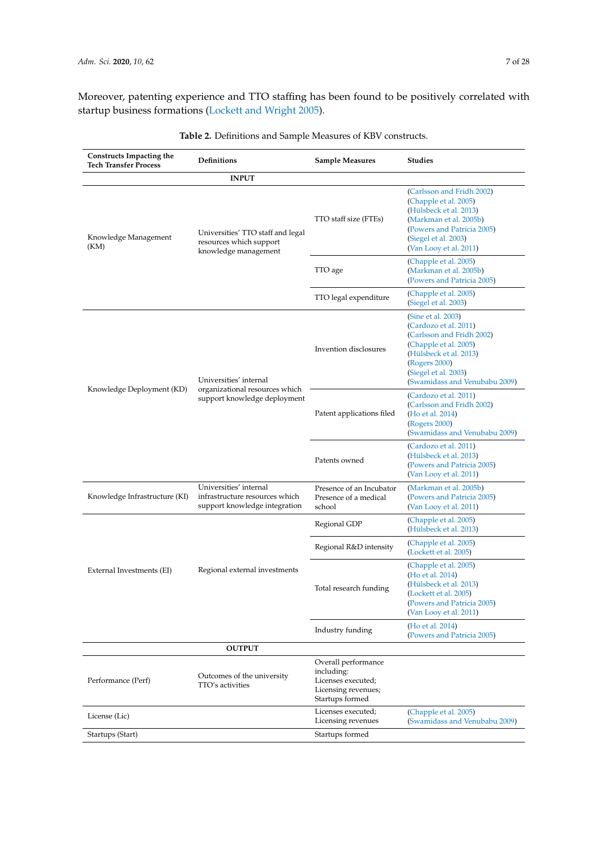Moreover, patenting experience and TTO staffing has been found to be positively correlated with startup business formations [\(Lockett and Wright](#page-25-2) [2005\)](#page-25-2).

<span id="page-6-0"></span>

| <b>Constructs Impacting the</b><br><b>Tech Transfer Process</b> | Definitions                                                                               | <b>Sample Measures</b>                                                                                                                                                                                                                                                                                                                                                                                                                                                                                                                                                                                                                                                                                                                                                                                             | <b>Studies</b>                                                                                                                                                                         |  |
|-----------------------------------------------------------------|-------------------------------------------------------------------------------------------|--------------------------------------------------------------------------------------------------------------------------------------------------------------------------------------------------------------------------------------------------------------------------------------------------------------------------------------------------------------------------------------------------------------------------------------------------------------------------------------------------------------------------------------------------------------------------------------------------------------------------------------------------------------------------------------------------------------------------------------------------------------------------------------------------------------------|----------------------------------------------------------------------------------------------------------------------------------------------------------------------------------------|--|
|                                                                 | <b>INPUT</b>                                                                              |                                                                                                                                                                                                                                                                                                                                                                                                                                                                                                                                                                                                                                                                                                                                                                                                                    |                                                                                                                                                                                        |  |
| Knowledge Management<br>(KM)                                    | Universities' TTO staff and legal<br>resources which support<br>knowledge management      | TTO staff size (FTEs)                                                                                                                                                                                                                                                                                                                                                                                                                                                                                                                                                                                                                                                                                                                                                                                              | (Carlsson and Fridh 2002)<br>(Chapple et al. 2005)<br>(Hülsbeck et al. 2013)<br>(Markman et al. 2005b)<br>(Powers and Patricia 2005)<br>(Siegel et al. 2003)<br>(Van Looy et al. 2011) |  |
|                                                                 |                                                                                           | TTO age<br>TTO legal expenditure<br>Invention disclosures<br>Patent applications filed<br>Patents owned<br>Presence of an Incubator<br>Presence of a medical<br>school<br>Regional GDP<br>Regional R&D intensity<br>Total research funding<br>Industry funding<br>Overall performance<br>including:<br>Licenses executed;<br>Licensing revenues;<br>Startups formed<br>Licenses executed;                                                                                                                                                                                                                                                                                                                                                                                                                          |                                                                                                                                                                                        |  |
|                                                                 |                                                                                           | (Chapple et al. 2005)<br>(Markman et al. 2005b)<br>(Powers and Patricia 2005)<br>(Chapple et al. 2005)<br>(Siegel et al. 2003)<br>(Sine et al. 2003)<br>(Cardozo et al. 2011)<br>(Carlsson and Fridh 2002)<br>(Chapple et al. 2005)<br>(Hülsbeck et al. 2013)<br>(Rogers 2000)<br>(Siegel et al. 2003)<br>(Swamidass and Venubabu 2009)<br>(Cardozo et al. 2011)<br>(Ho et al. 2014)<br>(Rogers 2000)<br>(Cardozo et al. 2011)<br>(Hülsbeck et al. 2013)<br>(Van Looy et al. 2011)<br>(Markman et al. 2005b)<br>(Van Looy et al. 2011)<br>(Chapple et al. 2005)<br>(Hülsbeck et al. 2013)<br>(Chapple et al. 2005)<br>(Lockett et al. 2005)<br>(Chapple et al. 2005)<br>(Ho et al. 2014)<br>(Hülsbeck et al. 2013)<br>(Lockett et al. 2005)<br>(Van Looy et al. 2011)<br>(Ho et al. 2014)<br>(Chapple et al. 2005) |                                                                                                                                                                                        |  |
|                                                                 | Universities' internal                                                                    |                                                                                                                                                                                                                                                                                                                                                                                                                                                                                                                                                                                                                                                                                                                                                                                                                    |                                                                                                                                                                                        |  |
| Knowledge Deployment (KD)                                       | organizational resources which<br>support knowledge deployment                            |                                                                                                                                                                                                                                                                                                                                                                                                                                                                                                                                                                                                                                                                                                                                                                                                                    | (Carlsson and Fridh 2002)<br>(Swamidass and Venubabu 2009)                                                                                                                             |  |
|                                                                 |                                                                                           |                                                                                                                                                                                                                                                                                                                                                                                                                                                                                                                                                                                                                                                                                                                                                                                                                    | (Powers and Patricia 2005)                                                                                                                                                             |  |
| Knowledge Infrastructure (KI)                                   | Universities' internal<br>infrastructure resources which<br>support knowledge integration |                                                                                                                                                                                                                                                                                                                                                                                                                                                                                                                                                                                                                                                                                                                                                                                                                    | (Powers and Patricia 2005)                                                                                                                                                             |  |
|                                                                 |                                                                                           |                                                                                                                                                                                                                                                                                                                                                                                                                                                                                                                                                                                                                                                                                                                                                                                                                    |                                                                                                                                                                                        |  |
|                                                                 |                                                                                           |                                                                                                                                                                                                                                                                                                                                                                                                                                                                                                                                                                                                                                                                                                                                                                                                                    |                                                                                                                                                                                        |  |
| External Investments (EI)                                       | Regional external investments                                                             |                                                                                                                                                                                                                                                                                                                                                                                                                                                                                                                                                                                                                                                                                                                                                                                                                    | (Powers and Patricia 2005)                                                                                                                                                             |  |
|                                                                 |                                                                                           |                                                                                                                                                                                                                                                                                                                                                                                                                                                                                                                                                                                                                                                                                                                                                                                                                    | (Powers and Patricia 2005)                                                                                                                                                             |  |
|                                                                 | <b>OUTPUT</b>                                                                             |                                                                                                                                                                                                                                                                                                                                                                                                                                                                                                                                                                                                                                                                                                                                                                                                                    |                                                                                                                                                                                        |  |
| Performance (Perf)                                              | Outcomes of the university<br>TTO's activities                                            |                                                                                                                                                                                                                                                                                                                                                                                                                                                                                                                                                                                                                                                                                                                                                                                                                    |                                                                                                                                                                                        |  |
| License (Lic)                                                   |                                                                                           | Licensing revenues                                                                                                                                                                                                                                                                                                                                                                                                                                                                                                                                                                                                                                                                                                                                                                                                 | (Swamidass and Venubabu 2009)                                                                                                                                                          |  |
| Startups (Start)                                                |                                                                                           | Startups formed                                                                                                                                                                                                                                                                                                                                                                                                                                                                                                                                                                                                                                                                                                                                                                                                    |                                                                                                                                                                                        |  |

# **Table 2.** Definitions and Sample Measures of KBV constructs.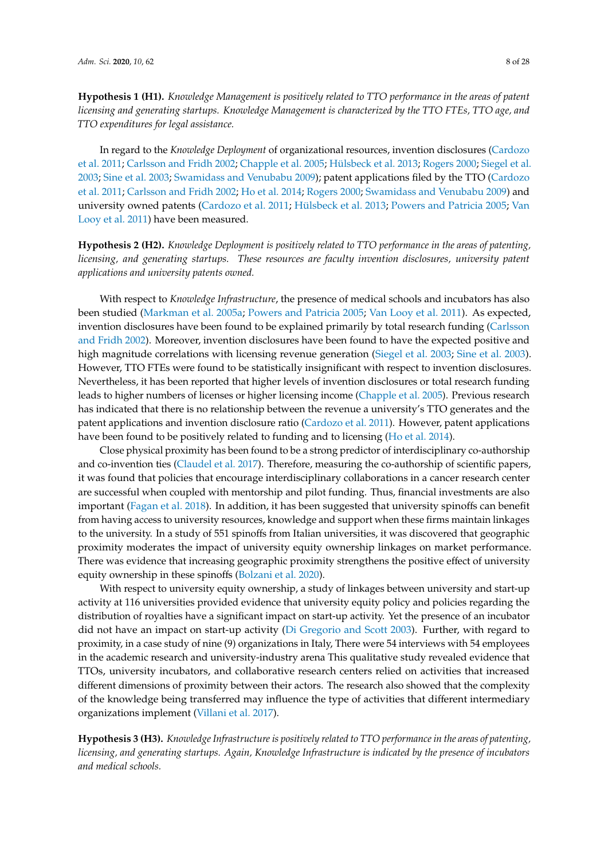**Hypothesis 1 (H1).** *Knowledge Management is positively related to TTO performance in the areas of patent licensing and generating startups. Knowledge Management is characterized by the TTO FTEs, TTO age, and TTO expenditures for legal assistance.*

In regard to the *Knowledge Deployment* of organizational resources, invention disclosures [\(Cardozo](#page-22-7) [et al.](#page-22-7) [2011;](#page-22-7) [Carlsson and Fridh](#page-22-6) [2002;](#page-22-6) [Chapple et al.](#page-22-1) [2005;](#page-22-1) [Hülsbeck et al.](#page-24-3) [2013;](#page-24-3) [Rogers](#page-25-10) [2000;](#page-25-10) [Siegel et al.](#page-26-6) [2003;](#page-26-6) [Sine et al.](#page-26-12) [2003;](#page-26-12) [Swamidass and Venubabu](#page-26-13) [2009\)](#page-26-13); patent applications filed by the TTO [\(Cardozo](#page-22-7) [et al.](#page-22-7) [2011;](#page-22-7) [Carlsson and Fridh](#page-22-6) [2002;](#page-22-6) [Ho et al.](#page-24-8) [2014;](#page-24-8) [Rogers](#page-25-10) [2000;](#page-25-10) [Swamidass and Venubabu](#page-26-13) [2009\)](#page-26-13) and university owned patents [\(Cardozo et al.](#page-22-7) [2011;](#page-22-7) [Hülsbeck et al.](#page-24-3) [2013;](#page-24-3) [Powers and Patricia](#page-25-9) [2005;](#page-25-9) [Van](#page-26-7) [Looy et al.](#page-26-7) [2011\)](#page-26-7) have been measured.

**Hypothesis 2 (H2).** *Knowledge Deployment is positively related to TTO performance in the areas of patenting, licensing, and generating startups. These resources are faculty invention disclosures, university patent applications and university patents owned.*

With respect to *Knowledge Infrastructure*, the presence of medical schools and incubators has also been studied [\(Markman et al.](#page-25-3) [2005a;](#page-25-3) [Powers and Patricia](#page-25-9) [2005;](#page-25-9) [Van Looy et al.](#page-26-7) [2011\)](#page-26-7). As expected, invention disclosures have been found to be explained primarily by total research funding [\(Carlsson](#page-22-6) [and Fridh](#page-22-6) [2002\)](#page-22-6). Moreover, invention disclosures have been found to have the expected positive and high magnitude correlations with licensing revenue generation [\(Siegel et al.](#page-26-6) [2003;](#page-26-6) [Sine et al.](#page-26-12) [2003\)](#page-26-12). However, TTO FTEs were found to be statistically insignificant with respect to invention disclosures. Nevertheless, it has been reported that higher levels of invention disclosures or total research funding leads to higher numbers of licenses or higher licensing income [\(Chapple et al.](#page-22-1) [2005\)](#page-22-1). Previous research has indicated that there is no relationship between the revenue a university's TTO generates and the patent applications and invention disclosure ratio [\(Cardozo et al.](#page-22-7) [2011\)](#page-22-7). However, patent applications have been found to be positively related to funding and to licensing [\(Ho et al.](#page-24-8) [2014\)](#page-24-8).

Close physical proximity has been found to be a strong predictor of interdisciplinary co-authorship and co-invention ties [\(Claudel et al.](#page-22-8) [2017\)](#page-22-8). Therefore, measuring the co-authorship of scientific papers, it was found that policies that encourage interdisciplinary collaborations in a cancer research center are successful when coupled with mentorship and pilot funding. Thus, financial investments are also important [\(Fagan et al.](#page-23-8) [2018\)](#page-23-8). In addition, it has been suggested that university spinoffs can benefit from having access to university resources, knowledge and support when these firms maintain linkages to the university. In a study of 551 spinoffs from Italian universities, it was discovered that geographic proximity moderates the impact of university equity ownership linkages on market performance. There was evidence that increasing geographic proximity strengthens the positive effect of university equity ownership in these spinoffs [\(Bolzani et al.](#page-22-9) [2020\)](#page-22-9).

With respect to university equity ownership, a study of linkages between university and start-up activity at 116 universities provided evidence that university equity policy and policies regarding the distribution of royalties have a significant impact on start-up activity. Yet the presence of an incubator did not have an impact on start-up activity [\(Di Gregorio and Scott](#page-23-9) [2003\)](#page-23-9). Further, with regard to proximity, in a case study of nine (9) organizations in Italy, There were 54 interviews with 54 employees in the academic research and university-industry arena This qualitative study revealed evidence that TTOs, university incubators, and collaborative research centers relied on activities that increased different dimensions of proximity between their actors. The research also showed that the complexity of the knowledge being transferred may influence the type of activities that different intermediary organizations implement [\(Villani et al.](#page-26-14) [2017\)](#page-26-14).

**Hypothesis 3 (H3).** *Knowledge Infrastructure is positively related to TTO performance in the areas of patenting, licensing, and generating startups. Again, Knowledge Infrastructure is indicated by the presence of incubators and medical schools.*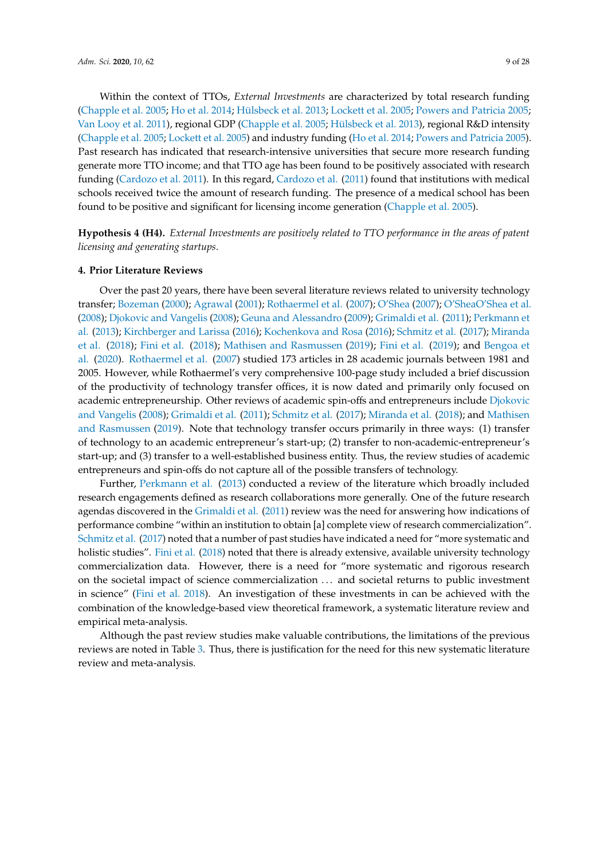Within the context of TTOs, *External Investments* are characterized by total research funding [\(Chapple et al.](#page-22-1) [2005;](#page-22-1) [Ho et al.](#page-24-8) [2014;](#page-24-8) [Hülsbeck et al.](#page-24-3) [2013;](#page-24-3) [Lockett et al.](#page-25-12) [2005;](#page-25-12) [Powers and Patricia](#page-25-9) [2005;](#page-25-9) [Van Looy et al.](#page-26-7) [2011\)](#page-26-7), regional GDP [\(Chapple et al.](#page-22-1) [2005;](#page-22-1) [Hülsbeck et al.](#page-24-3) [2013\)](#page-24-3), regional R&D intensity [\(Chapple et al.](#page-22-1) [2005;](#page-22-1) [Lockett et al.](#page-25-12) [2005\)](#page-25-12) and industry funding [\(Ho et al.](#page-24-8) [2014;](#page-24-8) [Powers and Patricia](#page-25-9) [2005\)](#page-25-9). Past research has indicated that research-intensive universities that secure more research funding generate more TTO income; and that TTO age has been found to be positively associated with research funding [\(Cardozo et al.](#page-22-7) [2011\)](#page-22-7). In this regard, [Cardozo et al.](#page-22-7) [\(2011\)](#page-22-7) found that institutions with medical schools received twice the amount of research funding. The presence of a medical school has been found to be positive and significant for licensing income generation [\(Chapple et al.](#page-22-1) [2005\)](#page-22-1).

**Hypothesis 4 (H4).** *External Investments are positively related to TTO performance in the areas of patent licensing and generating startups*.

#### **4. Prior Literature Reviews**

Over the past 20 years, there have been several literature reviews related to university technology transfer; [Bozeman](#page-22-10) [\(2000\)](#page-22-10); [Agrawal](#page-21-2) [\(2001\)](#page-21-2); [Rothaermel et al.](#page-26-15) [\(2007\)](#page-26-15); [O'Shea](#page-25-14) [\(2007\)](#page-25-14); [O'Shea](#page-25-14)[O'Shea et al.](#page-25-15) [\(2008\)](#page-25-15); [Djokovic and Vangelis](#page-23-10) [\(2008\)](#page-23-10); [Geuna and Alessandro](#page-23-11) [\(2009\)](#page-23-11); [Grimaldi et al.](#page-23-12) [\(2011\)](#page-23-12); [Perkmann et](#page-25-16) [al.](#page-25-16) [\(2013\)](#page-25-16); [Kirchberger and Larissa](#page-24-9) [\(2016\)](#page-24-9); [Kochenkova and Rosa](#page-24-10) [\(2016\)](#page-24-10); [Schmitz et al.](#page-26-16) [\(2017\)](#page-26-16); [Miranda](#page-25-17) [et al.](#page-25-17) [\(2018\)](#page-25-17); [Fini et al.](#page-23-13) [\(2018\)](#page-23-13); [Mathisen and Rasmussen](#page-25-18) [\(2019\)](#page-25-18); [Fini et al.](#page-23-14) [\(2019\)](#page-23-14); and [Bengoa et](#page-22-11) [al.](#page-22-11) [\(2020\)](#page-22-11). [Rothaermel et al.](#page-26-15) [\(2007\)](#page-26-15) studied 173 articles in 28 academic journals between 1981 and 2005. However, while Rothaermel's very comprehensive 100-page study included a brief discussion of the productivity of technology transfer offices, it is now dated and primarily only focused on academic entrepreneurship. Other reviews of academic spin-offs and entrepreneurs include [Djokovic](#page-23-10) [and Vangelis](#page-23-10) [\(2008\)](#page-23-10); [Grimaldi et al.](#page-23-12) [\(2011\)](#page-23-12); [Schmitz et al.](#page-26-16) [\(2017\)](#page-26-16); [Miranda et al.](#page-25-17) [\(2018\)](#page-25-17); and [Mathisen](#page-25-18) [and Rasmussen](#page-25-18) [\(2019\)](#page-25-18). Note that technology transfer occurs primarily in three ways: (1) transfer of technology to an academic entrepreneur's start-up; (2) transfer to non-academic-entrepreneur's start-up; and (3) transfer to a well-established business entity. Thus, the review studies of academic entrepreneurs and spin-offs do not capture all of the possible transfers of technology.

Further, [Perkmann et al.](#page-25-16) [\(2013\)](#page-25-16) conducted a review of the literature which broadly included research engagements defined as research collaborations more generally. One of the future research agendas discovered in the [Grimaldi et al.](#page-23-12) [\(2011\)](#page-23-12) review was the need for answering how indications of performance combine "within an institution to obtain [a] complete view of research commercialization". [Schmitz et al.](#page-26-16) [\(2017\)](#page-26-16) noted that a number of past studies have indicated a need for "more systematic and holistic studies". [Fini et al.](#page-23-13) [\(2018\)](#page-23-13) noted that there is already extensive, available university technology commercialization data. However, there is a need for "more systematic and rigorous research on the societal impact of science commercialization . . . and societal returns to public investment in science" [\(Fini et al.](#page-23-13) [2018\)](#page-23-13). An investigation of these investments in can be achieved with the combination of the knowledge-based view theoretical framework, a systematic literature review and empirical meta-analysis.

Although the past review studies make valuable contributions, the limitations of the previous reviews are noted in Table [3.](#page-11-0) Thus, there is justification for the need for this new systematic literature review and meta-analysis.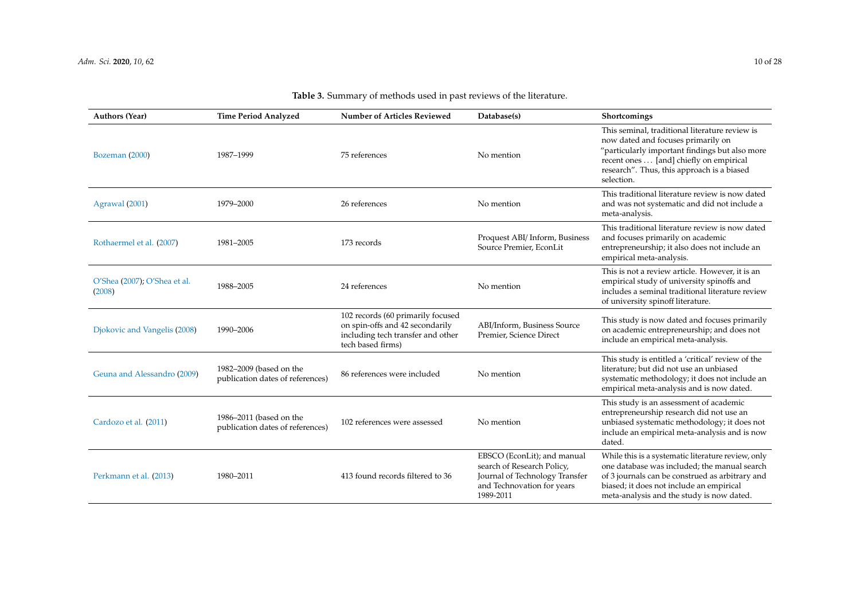| <b>Authors (Year)</b>                  | <b>Time Period Analyzed</b>                                 | <b>Number of Articles Reviewed</b>                                                                                             | Database(s)                                                                                                                                                                        | Shortcomings                                                                                                                                                                                                                                   |
|----------------------------------------|-------------------------------------------------------------|--------------------------------------------------------------------------------------------------------------------------------|------------------------------------------------------------------------------------------------------------------------------------------------------------------------------------|------------------------------------------------------------------------------------------------------------------------------------------------------------------------------------------------------------------------------------------------|
| Bozeman (2000)                         | 1987-1999                                                   | 75 references                                                                                                                  | No mention                                                                                                                                                                         | This seminal, traditional literature review is<br>now dated and focuses primarily on<br>"particularly important findings but also more<br>recent ones [and] chiefly on empirical<br>research". Thus, this approach is a biased<br>selection.   |
| Agrawal (2001)                         | 1979-2000                                                   | 26 references                                                                                                                  | This traditional literature review is now dated<br>No mention<br>and was not systematic and did not include a<br>meta-analysis.<br>This traditional literature review is now dated |                                                                                                                                                                                                                                                |
| Rothaermel et al. (2007)               | 1981-2005                                                   | 173 records                                                                                                                    | Proquest ABI/Inform, Business<br>and focuses primarily on academic<br>Source Premier, EconLit<br>entrepreneurship; it also does not include an<br>empirical meta-analysis.         |                                                                                                                                                                                                                                                |
| O'Shea (2007); O'Shea et al.<br>(2008) | 1988-2005                                                   | 24 references                                                                                                                  | No mention                                                                                                                                                                         | This is not a review article. However, it is an<br>empirical study of university spinoffs and<br>includes a seminal traditional literature review<br>of university spinoff literature.                                                         |
| Djokovic and Vangelis (2008)           | 1990-2006                                                   | 102 records (60 primarily focused<br>on spin-offs and 42 secondarily<br>including tech transfer and other<br>tech based firms) | ABI/Inform, Business Source<br>Premier, Science Direct                                                                                                                             | This study is now dated and focuses primarily<br>on academic entrepreneurship; and does not<br>include an empirical meta-analysis.                                                                                                             |
| Geuna and Alessandro (2009)            | 1982-2009 (based on the<br>publication dates of references) | 86 references were included                                                                                                    | No mention                                                                                                                                                                         | This study is entitled a 'critical' review of the<br>literature; but did not use an unbiased<br>systematic methodology; it does not include an<br>empirical meta-analysis and is now dated.                                                    |
| Cardozo et al. (2011)                  | 1986-2011 (based on the<br>publication dates of references) | 102 references were assessed                                                                                                   | No mention                                                                                                                                                                         | This study is an assessment of academic<br>entrepreneurship research did not use an<br>unbiased systematic methodology; it does not<br>include an empirical meta-analysis and is now<br>dated.                                                 |
| Perkmann et al. (2013)                 | 1980-2011                                                   | 413 found records filtered to 36                                                                                               | EBSCO (EconLit); and manual<br>search of Research Policy,<br>Journal of Technology Transfer<br>and Technovation for years<br>1989-2011                                             | While this is a systematic literature review, only<br>one database was included; the manual search<br>of 3 journals can be construed as arbitrary and<br>biased; it does not include an empirical<br>meta-analysis and the study is now dated. |

# **Table 3.** Summary of methods used in past reviews of the literature.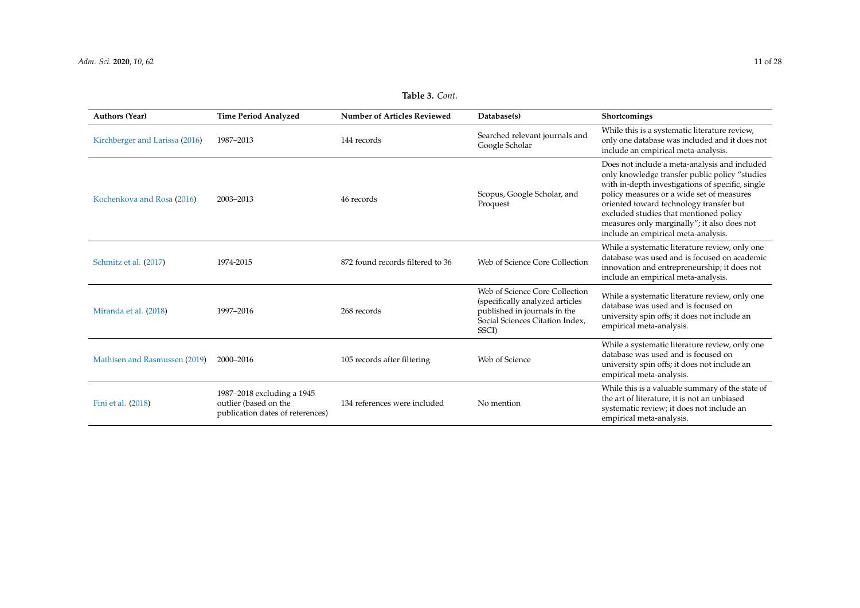| <b>Authors (Year)</b>          | <b>Time Period Analyzed</b>                                                             | <b>Number of Articles Reviewed</b>                                                                                                                                                                                                                                                                                                                                                                                                                                                                                                                                                                                                                                                                                                                                                                                                                                                                                                                                                                                  | Database(s)                                                                                     | Shortcomings                                                                                                                                                                                                                                    |
|--------------------------------|-----------------------------------------------------------------------------------------|---------------------------------------------------------------------------------------------------------------------------------------------------------------------------------------------------------------------------------------------------------------------------------------------------------------------------------------------------------------------------------------------------------------------------------------------------------------------------------------------------------------------------------------------------------------------------------------------------------------------------------------------------------------------------------------------------------------------------------------------------------------------------------------------------------------------------------------------------------------------------------------------------------------------------------------------------------------------------------------------------------------------|-------------------------------------------------------------------------------------------------|-------------------------------------------------------------------------------------------------------------------------------------------------------------------------------------------------------------------------------------------------|
| Kirchberger and Larissa (2016) | 1987-2013                                                                               | Searched relevant journals and<br>144 records<br>Google Scholar<br>include an empirical meta-analysis.<br>Scopus, Google Scholar, and<br>46 records<br>oriented toward technology transfer but<br>Proquest<br>excluded studies that mentioned policy<br>include an empirical meta-analysis.<br>While a systematic literature review, only one<br>database was used and is focused on academic<br>872 found records filtered to 36<br>Web of Science Core Collection<br>innovation and entrepreneurship; it does not<br>include an empirical meta-analysis.<br>Web of Science Core Collection<br>(specifically analyzed articles<br>database was used and is focused on<br>published in journals in the<br>268 records<br>Social Sciences Citation Index,<br>empirical meta-analysis.<br>SSCI)<br>While a systematic literature review, only one<br>database was used and is focused on<br>Web of Science<br>105 records after filtering<br>university spin offs; it does not include an<br>empirical meta-analysis. | While this is a systematic literature review,<br>only one database was included and it does not |                                                                                                                                                                                                                                                 |
| Kochenkova and Rosa (2016)     | 2003-2013                                                                               |                                                                                                                                                                                                                                                                                                                                                                                                                                                                                                                                                                                                                                                                                                                                                                                                                                                                                                                                                                                                                     |                                                                                                 | Does not include a meta-analysis and included<br>only knowledge transfer public policy "studies<br>with in-depth investigations of specific, single<br>policy measures or a wide set of measures<br>measures only marginally"; it also does not |
| Schmitz et al. (2017)          | 1974-2015                                                                               |                                                                                                                                                                                                                                                                                                                                                                                                                                                                                                                                                                                                                                                                                                                                                                                                                                                                                                                                                                                                                     |                                                                                                 |                                                                                                                                                                                                                                                 |
| Miranda et al. (2018)          | 1997-2016                                                                               |                                                                                                                                                                                                                                                                                                                                                                                                                                                                                                                                                                                                                                                                                                                                                                                                                                                                                                                                                                                                                     |                                                                                                 | While a systematic literature review, only one<br>university spin offs; it does not include an                                                                                                                                                  |
| Mathisen and Rasmussen (2019)  | 2000-2016                                                                               |                                                                                                                                                                                                                                                                                                                                                                                                                                                                                                                                                                                                                                                                                                                                                                                                                                                                                                                                                                                                                     |                                                                                                 |                                                                                                                                                                                                                                                 |
| Fini et al. (2018)             | 1987-2018 excluding a 1945<br>outlier (based on the<br>publication dates of references) | 134 references were included                                                                                                                                                                                                                                                                                                                                                                                                                                                                                                                                                                                                                                                                                                                                                                                                                                                                                                                                                                                        | No mention                                                                                      | While this is a valuable summary of the state of<br>the art of literature, it is not an unbiased<br>systematic review; it does not include an<br>empirical meta-analysis.                                                                       |

# **Table 3.** *Cont.*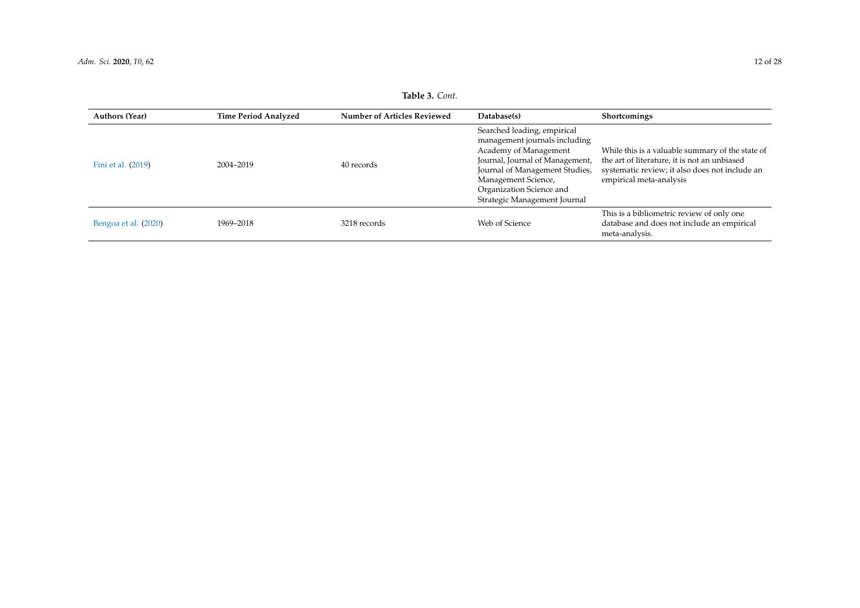<span id="page-11-0"></span>

| <b>Authors (Year)</b> | <b>Time Period Analyzed</b> | <b>Number of Articles Reviewed</b> | Database(s)                                                                                                                                                                                                                                   | <b>Shortcomings</b>                                                                                                                                                           |
|-----------------------|-----------------------------|------------------------------------|-----------------------------------------------------------------------------------------------------------------------------------------------------------------------------------------------------------------------------------------------|-------------------------------------------------------------------------------------------------------------------------------------------------------------------------------|
| Fini et al. (2019)    | 2004-2019                   | 40 records                         | Searched leading, empirical<br>management journals including<br>Academy of Management<br>Journal, Journal of Management,<br>Journal of Management Studies,<br>Management Science,<br>Organization Science and<br>Strategic Management Journal | While this is a valuable summary of the state of<br>the art of literature, it is not an unbiased<br>systematic review; it also does not include an<br>empirical meta-analysis |
| Bengoa et al. (2020)  | 1969-2018                   | 3218 records                       | Web of Science                                                                                                                                                                                                                                | This is a bibliometric review of only one<br>database and does not include an empirical<br>meta-analysis.                                                                     |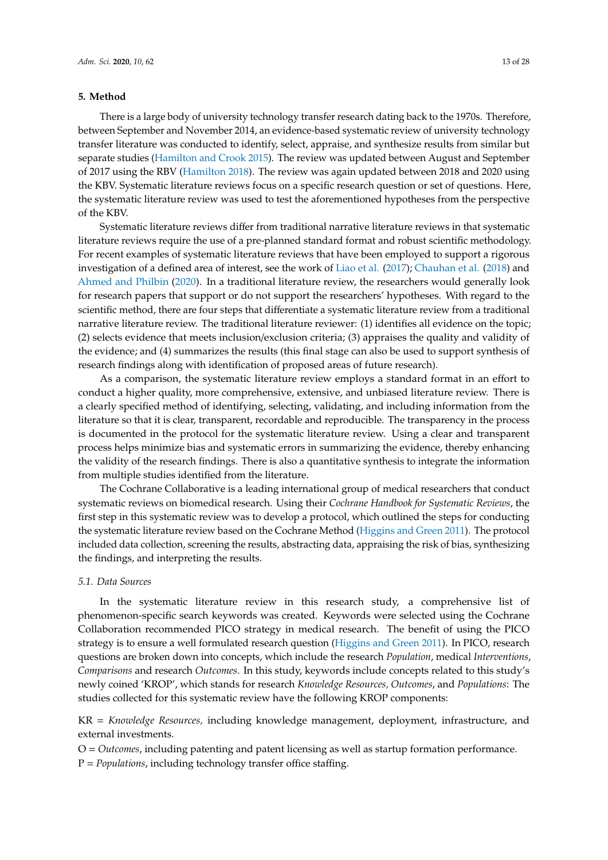# **5. Method**

There is a large body of university technology transfer research dating back to the 1970s. Therefore, between September and November 2014, an evidence-based systematic review of university technology transfer literature was conducted to identify, select, appraise, and synthesize results from similar but separate studies [\(Hamilton and Crook](#page-24-13) [2015\)](#page-24-13). The review was updated between August and September of 2017 using the RBV [\(Hamilton](#page-24-14) [2018\)](#page-24-14). The review was again updated between 2018 and 2020 using the KBV. Systematic literature reviews focus on a specific research question or set of questions. Here, the systematic literature review was used to test the aforementioned hypotheses from the perspective of the KBV.

Systematic literature reviews differ from traditional narrative literature reviews in that systematic literature reviews require the use of a pre-planned standard format and robust scientific methodology. For recent examples of systematic literature reviews that have been employed to support a rigorous investigation of a defined area of interest, see the work of [Liao et al.](#page-25-24) [\(2017\)](#page-25-24); [Chauhan et al.](#page-22-15) [\(2018\)](#page-22-15) and [Ahmed and Philbin](#page-21-4) [\(2020\)](#page-21-4). In a traditional literature review, the researchers would generally look for research papers that support or do not support the researchers' hypotheses. With regard to the scientific method, there are four steps that differentiate a systematic literature review from a traditional narrative literature review. The traditional literature reviewer: (1) identifies all evidence on the topic; (2) selects evidence that meets inclusion/exclusion criteria; (3) appraises the quality and validity of the evidence; and (4) summarizes the results (this final stage can also be used to support synthesis of research findings along with identification of proposed areas of future research).

As a comparison, the systematic literature review employs a standard format in an effort to conduct a higher quality, more comprehensive, extensive, and unbiased literature review. There is a clearly specified method of identifying, selecting, validating, and including information from the literature so that it is clear, transparent, recordable and reproducible. The transparency in the process is documented in the protocol for the systematic literature review. Using a clear and transparent process helps minimize bias and systematic errors in summarizing the evidence, thereby enhancing the validity of the research findings. There is also a quantitative synthesis to integrate the information from multiple studies identified from the literature.

The Cochrane Collaborative is a leading international group of medical researchers that conduct systematic reviews on biomedical research. Using their *Cochrane Handbook for Systematic Reviews*, the first step in this systematic review was to develop a protocol, which outlined the steps for conducting the systematic literature review based on the Cochrane Method [\(Higgins and Green](#page-24-15) [2011\)](#page-24-15). The protocol included data collection, screening the results, abstracting data, appraising the risk of bias, synthesizing the findings, and interpreting the results.

# *5.1. Data Sources*

In the systematic literature review in this research study, a comprehensive list of phenomenon-specific search keywords was created. Keywords were selected using the Cochrane Collaboration recommended PICO strategy in medical research. The benefit of using the PICO strategy is to ensure a well formulated research question [\(Higgins and Green](#page-24-15) [2011\)](#page-24-15). In PICO, research questions are broken down into concepts, which include the research *Population*, medical *Interventions*, *Comparisons* and research *Outcomes*. In this study, keywords include concepts related to this study's newly coined 'KROP', which stands for research *Knowledge Resources, Outcomes*, and *Populations*: The studies collected for this systematic review have the following KROP components:

KR = *Knowledge Resources,* including knowledge management, deployment, infrastructure, and external investments.

O = *Outcomes*, including patenting and patent licensing as well as startup formation performance.

P = *Populations*, including technology transfer office staffing.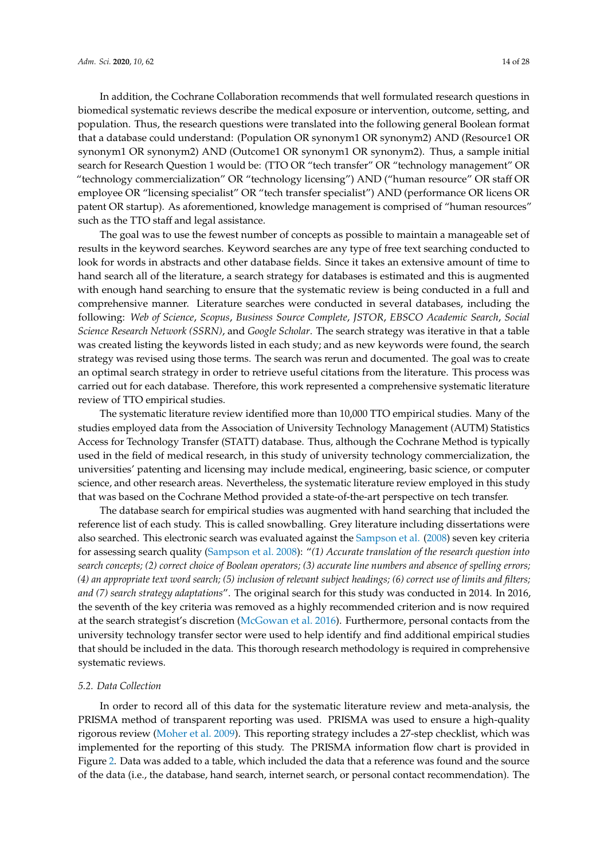In addition, the Cochrane Collaboration recommends that well formulated research questions in biomedical systematic reviews describe the medical exposure or intervention, outcome, setting, and population. Thus, the research questions were translated into the following general Boolean format that a database could understand: (Population OR synonym1 OR synonym2) AND (Resource1 OR synonym1 OR synonym2) AND (Outcome1 OR synonym1 OR synonym2). Thus, a sample initial search for Research Question 1 would be: (TTO OR "tech transfer" OR "technology management" OR "technology commercialization" OR "technology licensing") AND ("human resource" OR staff OR employee OR "licensing specialist" OR "tech transfer specialist") AND (performance OR licens OR patent OR startup). As aforementioned, knowledge management is comprised of "human resources" such as the TTO staff and legal assistance.

The goal was to use the fewest number of concepts as possible to maintain a manageable set of results in the keyword searches. Keyword searches are any type of free text searching conducted to look for words in abstracts and other database fields. Since it takes an extensive amount of time to hand search all of the literature, a search strategy for databases is estimated and this is augmented with enough hand searching to ensure that the systematic review is being conducted in a full and comprehensive manner. Literature searches were conducted in several databases, including the following: *Web of Science*, *Scopus*, *Business Source Complete*, *JSTOR*, *EBSCO Academic Search*, *Social Science Research Network (SSRN)*, and *Google Scholar*. The search strategy was iterative in that a table was created listing the keywords listed in each study; and as new keywords were found, the search strategy was revised using those terms. The search was rerun and documented. The goal was to create an optimal search strategy in order to retrieve useful citations from the literature. This process was carried out for each database. Therefore, this work represented a comprehensive systematic literature review of TTO empirical studies.

The systematic literature review identified more than 10,000 TTO empirical studies. Many of the studies employed data from the Association of University Technology Management (AUTM) Statistics Access for Technology Transfer (STATT) database. Thus, although the Cochrane Method is typically used in the field of medical research, in this study of university technology commercialization, the universities' patenting and licensing may include medical, engineering, basic science, or computer science, and other research areas. Nevertheless, the systematic literature review employed in this study that was based on the Cochrane Method provided a state-of-the-art perspective on tech transfer.

The database search for empirical studies was augmented with hand searching that included the reference list of each study. This is called snowballing. Grey literature including dissertations were also searched. This electronic search was evaluated against the [Sampson et al.](#page-26-19) [\(2008\)](#page-26-19) seven key criteria for assessing search quality [\(Sampson et al.](#page-26-19) [2008\)](#page-26-19): "*(1) Accurate translation of the research question into search concepts; (2) correct choice of Boolean operators; (3) accurate line numbers and absence of spelling errors; (4) an appropriate text word search; (5) inclusion of relevant subject headings; (6) correct use of limits and filters; and (7) search strategy adaptations*". The original search for this study was conducted in 2014. In 2016, the seventh of the key criteria was removed as a highly recommended criterion and is now required at the search strategist's discretion [\(McGowan et al.](#page-25-25) [2016\)](#page-25-25). Furthermore, personal contacts from the university technology transfer sector were used to help identify and find additional empirical studies that should be included in the data. This thorough research methodology is required in comprehensive systematic reviews.

#### *5.2. Data Collection*

In order to record all of this data for the systematic literature review and meta-analysis, the PRISMA method of transparent reporting was used. PRISMA was used to ensure a high-quality rigorous review [\(Moher et al.](#page-25-26) [2009\)](#page-25-26). This reporting strategy includes a 27-step checklist, which was implemented for the reporting of this study. The PRISMA information flow chart is provided in Figure [2.](#page-14-0) Data was added to a table, which included the data that a reference was found and the source of the data (i.e., the database, hand search, internet search, or personal contact recommendation). The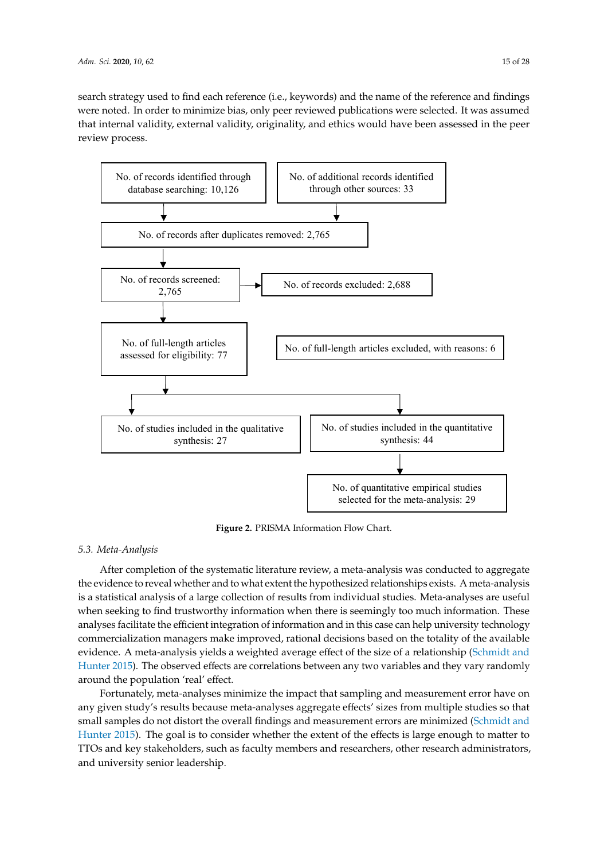search strategy used to find each reference (i.e., keywords) and the name of the reference and findings were noted. In order to minimize bias, only peer reviewed publications were selected. It was assumed that internal validity, external validity, originality, and ethics would have been assessed in the peer review process. *Adm. Sci.* **2020**, *10*, x FOR PEER REVIEW 16 of 28

<span id="page-14-0"></span>

**Figure 2.** PRISMA Information Flow Chart. **Figure 2.** PRISMA Information Flow Chart.

# *5.3. Meta-Analysis 5.3. Meta-Analysis*

After completion of the systematic literature review, a meta-analysis was conducted to aggregate After completion of the systematic literature review, a meta-analysis was conducted to aggregate the evidence to reveal whether and to what extent the hypothesized relationships exists. A meta-the evidence to reveal whether and to what extent the hypothesized relationships exists. A meta-analysis is a statistical analysis of a large collection of results from individual studies. Meta-analyses are useful when seeking to find trustworthy information when there is seemingly too much information. These analyses facilitate the efficient integration of information and in this case can help university technology commercialization managers make improved, rational decisions based on the totality of the available evidence. A meta-analysis yields a weighted average effect of the size of a relationship [\(Schmidt and](#page-26-20) [Hunter](#page-26-20) [2015\)](#page-26-20). The observed effects are correlations between any two variables and they vary randomly around the population 'real' effect.

Fortunately, meta-analyses minimize the impact that sampling and measurement error have on Fortunately, meta-analyses minimize the impact that sampling and measurement error have on any given study's results because meta-analyses aggregate effects' sizes from multiple studies so that any given study's results because meta-analyses aggregate effects' sizes from multiple studies so that small samples do not distort the overall findings and measurement errors are minimized [\(Schmidt and](#page-26-20) [Hunter](#page-26-20) [2015\)](#page-26-20). The goal is to consider whether the extent of the effects is large enough to matter to  $\rm TTOs$  and key stakeholders, such as faculty members and researchers, other research administrators, and university senior leadership.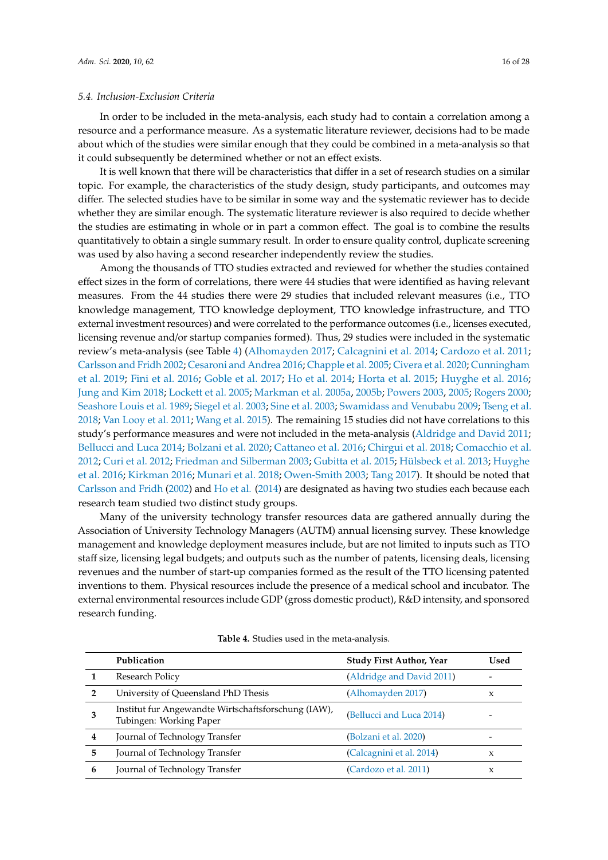In order to be included in the meta-analysis, each study had to contain a correlation among a resource and a performance measure. As a systematic literature reviewer, decisions had to be made about which of the studies were similar enough that they could be combined in a meta-analysis so that it could subsequently be determined whether or not an effect exists.

It is well known that there will be characteristics that differ in a set of research studies on a similar topic. For example, the characteristics of the study design, study participants, and outcomes may differ. The selected studies have to be similar in some way and the systematic reviewer has to decide whether they are similar enough. The systematic literature reviewer is also required to decide whether the studies are estimating in whole or in part a common effect. The goal is to combine the results quantitatively to obtain a single summary result. In order to ensure quality control, duplicate screening was used by also having a second researcher independently review the studies.

Among the thousands of TTO studies extracted and reviewed for whether the studies contained effect sizes in the form of correlations, there were 44 studies that were identified as having relevant measures. From the 44 studies there were 29 studies that included relevant measures (i.e., TTO knowledge management, TTO knowledge deployment, TTO knowledge infrastructure, and TTO external investment resources) and were correlated to the performance outcomes (i.e., licenses executed, licensing revenue and/or startup companies formed). Thus, 29 studies were included in the systematic review's meta-analysis (see Table [4\)](#page-16-0) [\(Alhomayden](#page-21-5) [2017;](#page-21-5) [Calcagnini et al.](#page-22-16) [2014;](#page-22-16) [Cardozo et al.](#page-22-7) [2011;](#page-22-7) [Carlsson and Fridh](#page-22-6) [2002;](#page-22-6) [Cesaroni and Andrea](#page-22-17) [2016;](#page-22-17) [Chapple et al.](#page-22-1) [2005;](#page-22-1) [Civera et al.](#page-22-18) [2020;](#page-22-18) [Cunningham](#page-23-19) [et al.](#page-23-19) [2019;](#page-23-19) [Fini et al.](#page-23-20) [2016;](#page-23-20) [Goble et al.](#page-23-21) [2017;](#page-23-21) [Ho et al.](#page-24-8) [2014;](#page-24-8) [Horta et al.](#page-24-16) [2015;](#page-24-16) [Huyghe et al.](#page-24-17) [2016;](#page-24-17) [Jung and Kim](#page-24-18) [2018;](#page-24-18) [Lockett et al.](#page-25-12) [2005;](#page-25-12) [Markman et al.](#page-25-3) [2005a,](#page-25-3) [2005b;](#page-25-13) [Powers](#page-25-11) [2003,](#page-25-11) [2005;](#page-22-19) [Rogers](#page-25-10) [2000;](#page-25-10) [Seashore Louis et al.](#page-26-5) [1989;](#page-26-5) [Siegel et al.](#page-26-6) [2003;](#page-26-6) [Sine et al.](#page-26-12) [2003;](#page-26-12) [Swamidass and Venubabu](#page-26-13) [2009;](#page-26-13) [Tseng et al.](#page-26-21) [2018;](#page-26-21) [Van Looy et al.](#page-26-7) [2011;](#page-26-7) [Wang et al.](#page-26-22) [2015\)](#page-26-22). The remaining 15 studies did not have correlations to this study's performance measures and were not included in the meta-analysis [\(Aldridge and David](#page-21-6) [2011;](#page-21-6) [Bellucci and Luca](#page-22-20) [2014;](#page-22-20) [Bolzani et al.](#page-22-9) [2020;](#page-22-9) [Cattaneo et al.](#page-22-21) [2016;](#page-22-21) [Chirgui et al.](#page-22-22) [2018;](#page-22-22) [Comacchio et al.](#page-22-23) [2012;](#page-22-23) [Curi et al.](#page-23-3) [2012;](#page-23-3) [Friedman and Silberman](#page-23-2) [2003;](#page-23-2) [Gubitta et al.](#page-23-22) [2015;](#page-23-22) [Hülsbeck et al.](#page-24-3) [2013;](#page-24-3) [Huyghe](#page-24-17) [et al.](#page-24-17) [2016;](#page-24-17) [Kirkman](#page-24-19) [2016;](#page-24-19) [Munari et al.](#page-25-27) [2018;](#page-25-27) [Owen-Smith](#page-25-28) [2003;](#page-25-28) [Tang](#page-26-23) [2017\)](#page-26-23). It should be noted that [Carlsson and Fridh](#page-22-6) [\(2002\)](#page-22-6) and [Ho et al.](#page-24-8) [\(2014\)](#page-24-8) are designated as having two studies each because each research team studied two distinct study groups.

Many of the university technology transfer resources data are gathered annually during the Association of University Technology Managers (AUTM) annual licensing survey. These knowledge management and knowledge deployment measures include, but are not limited to inputs such as TTO staff size, licensing legal budgets; and outputs such as the number of patents, licensing deals, licensing revenues and the number of start-up companies formed as the result of the TTO licensing patented inventions to them. Physical resources include the presence of a medical school and incubator. The external environmental resources include GDP (gross domestic product), R&D intensity, and sponsored research funding.

|   | <b>Publication</b>                                                             | <b>Study First Author, Year</b> | Used |
|---|--------------------------------------------------------------------------------|---------------------------------|------|
|   | Research Policy                                                                | (Aldridge and David 2011)       |      |
|   | University of Queensland PhD Thesis                                            | (Alhomayden 2017)               | X    |
| 3 | Institut fur Angewandte Wirtschaftsforschung (IAW),<br>Tubingen: Working Paper | (Bellucci and Luca 2014)        |      |
| 4 | Journal of Technology Transfer                                                 | (Bolzani et al. 2020)           |      |
| 5 | Journal of Technology Transfer                                                 | (Calcagnini et al. 2014)        | X    |
| 6 | Journal of Technology Transfer                                                 | (Cardozo et al. 2011)           | X    |

**Table 4.** Studies used in the meta-analysis.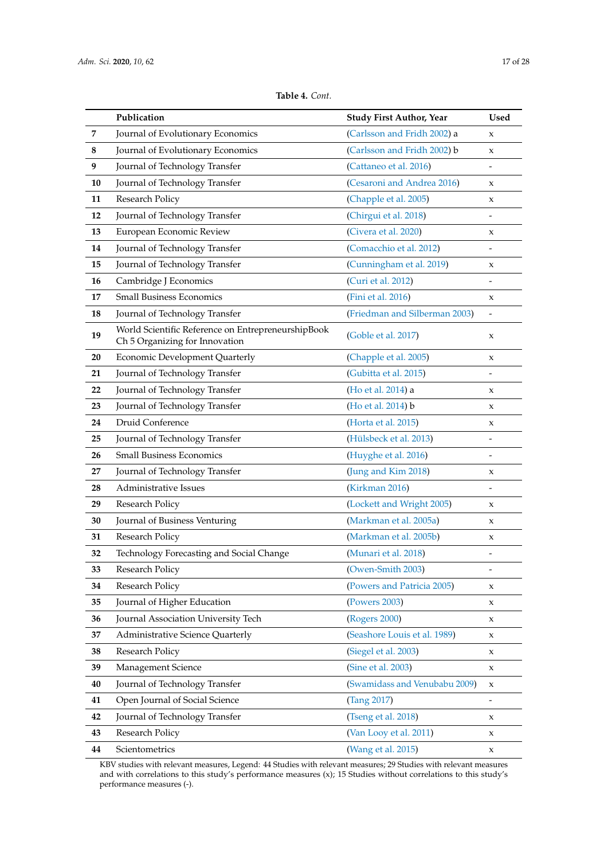<span id="page-16-0"></span>

|    | Publication                                                                          | <b>Study First Author, Year</b> | Used                     |
|----|--------------------------------------------------------------------------------------|---------------------------------|--------------------------|
| 7  | Journal of Evolutionary Economics                                                    | (Carlsson and Fridh 2002) a     | X                        |
| 8  | Journal of Evolutionary Economics                                                    | (Carlsson and Fridh 2002) b     | X                        |
| 9  | Journal of Technology Transfer                                                       | (Cattaneo et al. 2016)          |                          |
| 10 | Journal of Technology Transfer                                                       | (Cesaroni and Andrea 2016)      | $\mathbf{x}$             |
| 11 | Research Policy                                                                      | (Chapple et al. 2005)           | X                        |
| 12 | Journal of Technology Transfer                                                       | (Chirgui et al. 2018)           |                          |
| 13 | European Economic Review                                                             | (Civera et al. 2020)            | X                        |
| 14 | Journal of Technology Transfer                                                       | (Comacchio et al. 2012)         | $\overline{\phantom{0}}$ |
| 15 | Journal of Technology Transfer                                                       | (Cunningham et al. 2019)        | X                        |
| 16 | Cambridge J Economics                                                                | (Curi et al. 2012)              |                          |
| 17 | <b>Small Business Economics</b>                                                      | (Fini et al. 2016)              | X                        |
| 18 | Journal of Technology Transfer                                                       | (Friedman and Silberman 2003)   | $\overline{\phantom{0}}$ |
| 19 | World Scientific Reference on EntrepreneurshipBook<br>Ch 5 Organizing for Innovation | (Goble et al. 2017)             | X                        |
| 20 | Economic Development Quarterly                                                       | (Chapple et al. 2005)           | X                        |
| 21 | Journal of Technology Transfer                                                       | (Gubitta et al. 2015)           |                          |
| 22 | Journal of Technology Transfer                                                       | (Ho et al. 2014) a              | X                        |
| 23 | Journal of Technology Transfer                                                       | (Ho et al. 2014) b              | X                        |
| 24 | Druid Conference                                                                     | (Horta et al. 2015)             | X                        |
| 25 | Journal of Technology Transfer                                                       | (Hülsbeck et al. 2013)          | $\overline{a}$           |
| 26 | <b>Small Business Economics</b>                                                      | (Huyghe et al. 2016)            |                          |
| 27 | Journal of Technology Transfer                                                       | (Jung and Kim 2018)             | X                        |
| 28 | Administrative Issues                                                                | (Kirkman 2016)                  | $\overline{\phantom{0}}$ |
| 29 | Research Policy                                                                      | (Lockett and Wright 2005)       | X                        |
| 30 | Journal of Business Venturing                                                        | (Markman et al. 2005a)          | X                        |
| 31 | Research Policy                                                                      | (Markman et al. 2005b)          | X                        |
| 32 | Technology Forecasting and Social Change                                             | (Munari et al. 2018)            |                          |
| 33 | Research Policy                                                                      | (Owen-Smith 2003)               | $\overline{\phantom{0}}$ |
| 34 | Research Policy                                                                      | (Powers and Patricia 2005)      | X                        |
| 35 | Journal of Higher Education                                                          | (Powers 2003)                   | x                        |
| 36 | Journal Association University Tech                                                  | (Rogers 2000)                   | X                        |
| 37 | Administrative Science Quarterly                                                     | (Seashore Louis et al. 1989)    | X                        |
| 38 | Research Policy                                                                      | (Siegel et al. 2003)            | x                        |
| 39 | Management Science                                                                   | (Sine et al. 2003)              | X                        |
| 40 | Journal of Technology Transfer                                                       | (Swamidass and Venubabu 2009)   | X                        |
| 41 | Open Journal of Social Science                                                       | (Tang 2017)                     |                          |
| 42 | Journal of Technology Transfer                                                       | (Tseng et al. 2018)             | X                        |
| 43 | Research Policy                                                                      | (Van Looy et al. 2011)          | X                        |
| 44 | Scientometrics                                                                       | (Wang et al. 2015)              | x                        |

**Table 4.** *Cont.*

KBV studies with relevant measures, Legend: 44 Studies with relevant measures; 29 Studies with relevant measures and with correlations to this study's performance measures (x); 15 Studies without correlations to this study's performance measures (-).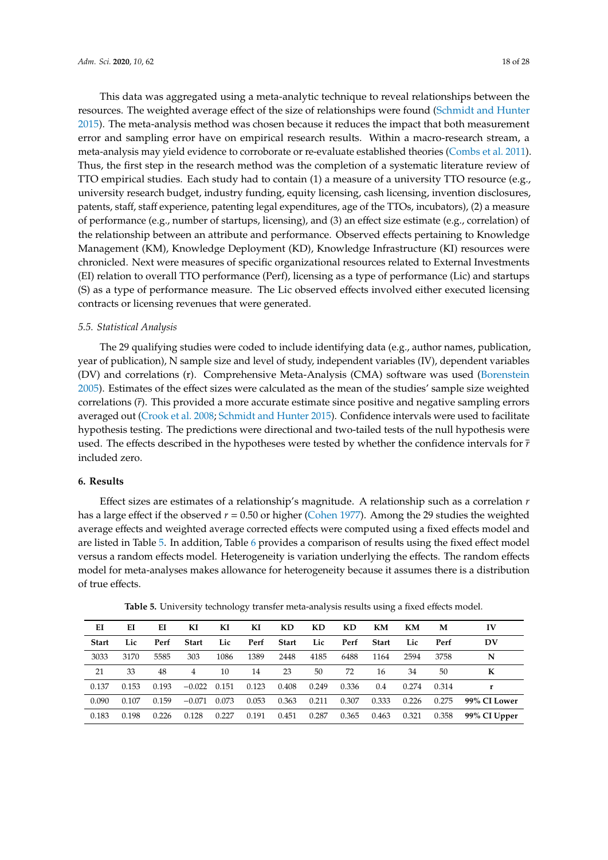This data was aggregated using a meta-analytic technique to reveal relationships between the resources. The weighted average effect of the size of relationships were found [\(Schmidt and Hunter](#page-26-20) [2015\)](#page-26-20). The meta-analysis method was chosen because it reduces the impact that both measurement error and sampling error have on empirical research results. Within a macro-research stream, a meta-analysis may yield evidence to corroborate or re-evaluate established theories [\(Combs et al.](#page-23-23) [2011\)](#page-23-23). Thus, the first step in the research method was the completion of a systematic literature review of TTO empirical studies. Each study had to contain (1) a measure of a university TTO resource (e.g., university research budget, industry funding, equity licensing, cash licensing, invention disclosures, patents, staff, staff experience, patenting legal expenditures, age of the TTOs, incubators), (2) a measure of performance (e.g., number of startups, licensing), and (3) an effect size estimate (e.g., correlation) of the relationship between an attribute and performance. Observed effects pertaining to Knowledge Management (KM), Knowledge Deployment (KD), Knowledge Infrastructure (KI) resources were chronicled. Next were measures of specific organizational resources related to External Investments (EI) relation to overall TTO performance (Perf), licensing as a type of performance (Lic) and startups (S) as a type of performance measure. The Lic observed effects involved either executed licensing contracts or licensing revenues that were generated.

# *5.5. Statistical Analysis*

The 29 qualifying studies were coded to include identifying data (e.g., author names, publication, year of publication), N sample size and level of study, independent variables (IV), dependent variables (DV) and correlations (r). Comprehensive Meta-Analysis (CMA) software was used [\(Borenstein](#page-22-19) [2005\)](#page-22-19). Estimates of the effect sizes were calculated as the mean of the studies' sample size weighted correlations (*r*). This provided a more accurate estimate since positive and negative sampling errors averaged out [\(Crook et al.](#page-23-24) [2008;](#page-23-24) [Schmidt and Hunter](#page-26-20) [2015\)](#page-26-20). Confidence intervals were used to facilitate hypothesis testing. The predictions were directional and two-tailed tests of the null hypothesis were used. The effects described in the hypotheses were tested by whether the confidence intervals for *r* included zero.

# **6. Results**

Effect sizes are estimates of a relationship's magnitude. A relationship such as a correlation *r* has a large effect if the observed *r* = 0.50 or higher [\(Cohen](#page-22-24) [1977\)](#page-22-24). Among the 29 studies the weighted average effects and weighted average corrected effects were computed using a fixed effects model and are listed in Table [5.](#page-17-0) In addition, Table [6](#page-18-0) provides a comparison of results using the fixed effect model versus a random effects model. Heterogeneity is variation underlying the effects. The random effects model for meta-analyses makes allowance for heterogeneity because it assumes there is a distribution of true effects.

<span id="page-17-0"></span>

| EI           | EI    | EI    | КI           | KІ    | КI    | KD           | KD    | KD    | KM           | KM    | M     | IV           |
|--------------|-------|-------|--------------|-------|-------|--------------|-------|-------|--------------|-------|-------|--------------|
| <b>Start</b> | Lic   | Perf  | <b>Start</b> | Lic   | Perf  | <b>Start</b> | Lic   | Perf  | <b>Start</b> | Lic   | Perf  | DV           |
| 3033         | 3170  | 5585  | 303          | 1086  | 1389  | 2448         | 4185  | 6488  | 1164         | 2594  | 3758  | N            |
| 21           | 33    | 48    | 4            | 10    | 14    | 23           | 50    | 72    | 16           | 34    | 50    | K            |
| 0.137        | 0.153 | 0.193 | $-0.022$     | 0.151 | 0.123 | 0.408        | 0.249 | 0.336 | 0.4          | 0.274 | 0.314 |              |
| 0.090        | 0.107 | 0.159 | $-0.071$     | 0.073 | 0.053 | 0.363        | 0.211 | 0.307 | 0.333        | 0.226 | 0.275 | 99% CI Lower |
| 0.183        | 0.198 | 0.226 | 0.128        | 0.227 | 0.191 | 0.451        | 0.287 | 0.365 | 0.463        | 0.321 | 0.358 | 99% CI Upper |

**Table 5.** University technology transfer meta-analysis results using a fixed effects model.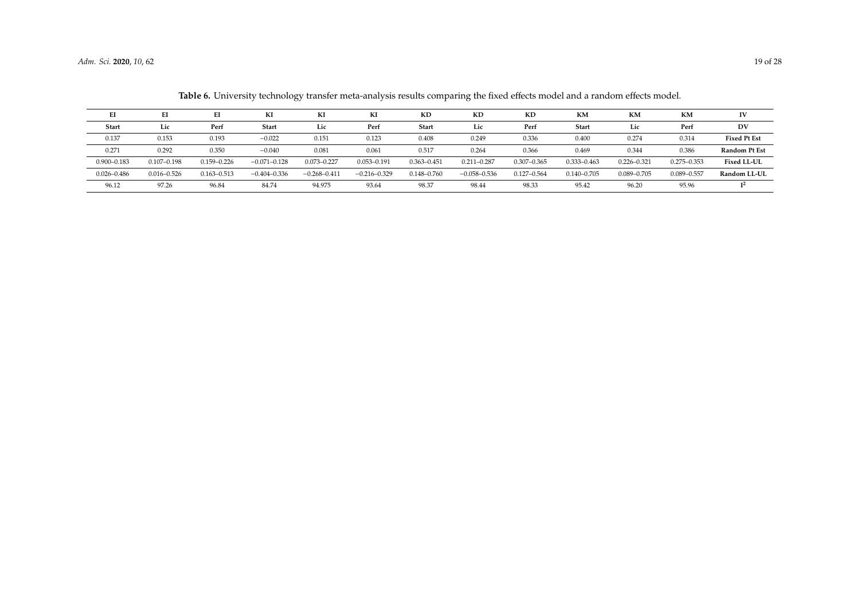*Adm. Sci.* **2020**, *10*, 62 19 of 28

<span id="page-18-0"></span>

| IV                   | KM              | KM              | KM              | <b>KD</b>       | KD               | KD              | KI               | KI               | KI               | EI              | EI              | EI              |
|----------------------|-----------------|-----------------|-----------------|-----------------|------------------|-----------------|------------------|------------------|------------------|-----------------|-----------------|-----------------|
| DV                   | Perf            | Lic             | <b>Start</b>    | Perf            | Lic              | <b>Start</b>    | Perf             | Lic              | <b>Start</b>     | Perf            | Lic             | <b>Start</b>    |
| <b>Fixed Pt Est</b>  | 0.314           | 0.274           | 0.400           | 0.336           | 0.249            | 0.408           | 0.123            | 0.151            | $-0.022$         | 0.193           | 0.153           | 0.137           |
| <b>Random Pt Est</b> | 0.386           | 0.344           | 0.469           | 0.366           | 0.264            | 0.517           | 0.061            | 0.081            | $-0.040$         | 0.350           | 0.292           | 0.271           |
| <b>Fixed LL-UL</b>   | $0.275 - 0.353$ | $0.226 - 0.321$ | $0.333 - 0.463$ | $0.307 - 0.365$ | $0.211 - 0.287$  | $0.363 - 0.451$ | $0.053 - 0.191$  | $0.073 - 0.227$  | $-0.071 - 0.128$ | $0.159 - 0.226$ | $0.107 - 0.198$ | $0.900 - 0.183$ |
| Random LL-UL         | $0.089 - 0.557$ | $0.089 - 0.705$ | $0.140 - 0.705$ | $0.127 - 0.564$ | $-0.058 - 0.536$ | $0.148 - 0.760$ | $-0.216 - 0.329$ | $-0.268 - 0.411$ | $-0.404 - 0.336$ | $0.163 - 0.513$ | $0.016 - 0.526$ | $0.026 - 0.486$ |
|                      | 95.96           | 96.20           | 95.42           | 98.33           | 98.44            | 98.37           | 93.64            | 94.975           | 84.74            | 96.84           | 97.26           | 96.12           |

**Table 6.** University technology transfer meta-analysis results comparing the fixed effects model and a random effects model.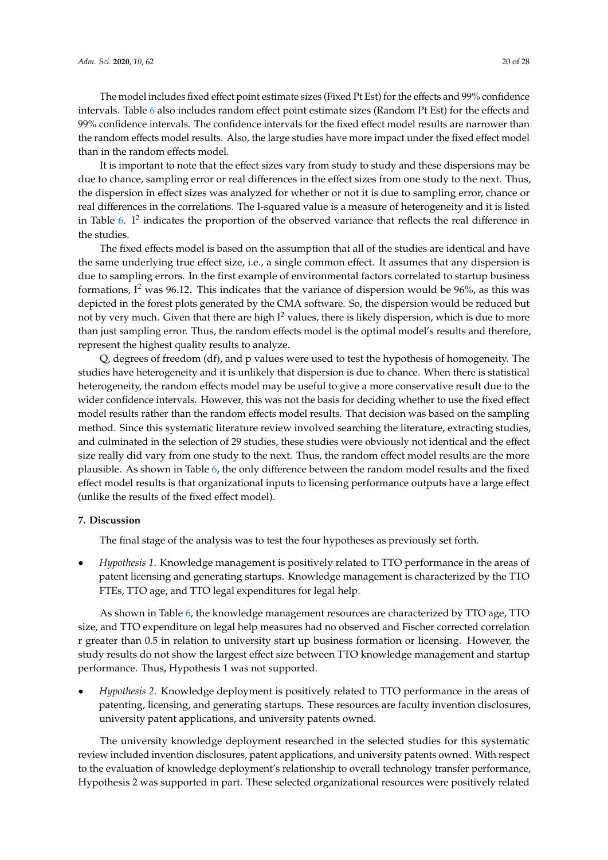The model includes fixed effect point estimate sizes (Fixed Pt Est) for the effects and 99% confidence intervals. Table [6](#page-18-0) also includes random effect point estimate sizes (Random Pt Est) for the effects and 99% confidence intervals. The confidence intervals for the fixed effect model results are narrower than the random effects model results. Also, the large studies have more impact under the fixed effect model than in the random effects model.

It is important to note that the effect sizes vary from study to study and these dispersions may be due to chance, sampling error or real differences in the effect sizes from one study to the next. Thus, the dispersion in effect sizes was analyzed for whether or not it is due to sampling error, chance or real differences in the correlations. The I-squared value is a measure of heterogeneity and it is listed in Table [6.](#page-18-0)  $I^2$  indicates the proportion of the observed variance that reflects the real difference in the studies.

The fixed effects model is based on the assumption that all of the studies are identical and have the same underlying true effect size, i.e., a single common effect. It assumes that any dispersion is due to sampling errors. In the first example of environmental factors correlated to startup business formations,  $I^2$  was 96.12. This indicates that the variance of dispersion would be 96%, as this was depicted in the forest plots generated by the CMA software. So, the dispersion would be reduced but not by very much. Given that there are high  $I^2$  values, there is likely dispersion, which is due to more than just sampling error. Thus, the random effects model is the optimal model's results and therefore, represent the highest quality results to analyze.

Q, degrees of freedom (df), and p values were used to test the hypothesis of homogeneity. The studies have heterogeneity and it is unlikely that dispersion is due to chance. When there is statistical heterogeneity, the random effects model may be useful to give a more conservative result due to the wider confidence intervals. However, this was not the basis for deciding whether to use the fixed effect model results rather than the random effects model results. That decision was based on the sampling method. Since this systematic literature review involved searching the literature, extracting studies, and culminated in the selection of 29 studies, these studies were obviously not identical and the effect size really did vary from one study to the next. Thus, the random effect model results are the more plausible. As shown in Table [6,](#page-18-0) the only difference between the random model results and the fixed effect model results is that organizational inputs to licensing performance outputs have a large effect (unlike the results of the fixed effect model).

# **7. Discussion**

The final stage of the analysis was to test the four hypotheses as previously set forth.

• *Hypothesis 1*. Knowledge management is positively related to TTO performance in the areas of patent licensing and generating startups. Knowledge management is characterized by the TTO FTEs, TTO age, and TTO legal expenditures for legal help.

As shown in Table [6,](#page-18-0) the knowledge management resources are characterized by TTO age, TTO size, and TTO expenditure on legal help measures had no observed and Fischer corrected correlation r greater than 0.5 in relation to university start up business formation or licensing. However, the study results do not show the largest effect size between TTO knowledge management and startup performance. Thus, Hypothesis 1 was not supported.

• *Hypothesis 2*. Knowledge deployment is positively related to TTO performance in the areas of patenting, licensing, and generating startups. These resources are faculty invention disclosures, university patent applications, and university patents owned.

The university knowledge deployment researched in the selected studies for this systematic review included invention disclosures, patent applications, and university patents owned. With respect to the evaluation of knowledge deployment's relationship to overall technology transfer performance, Hypothesis 2 was supported in part. These selected organizational resources were positively related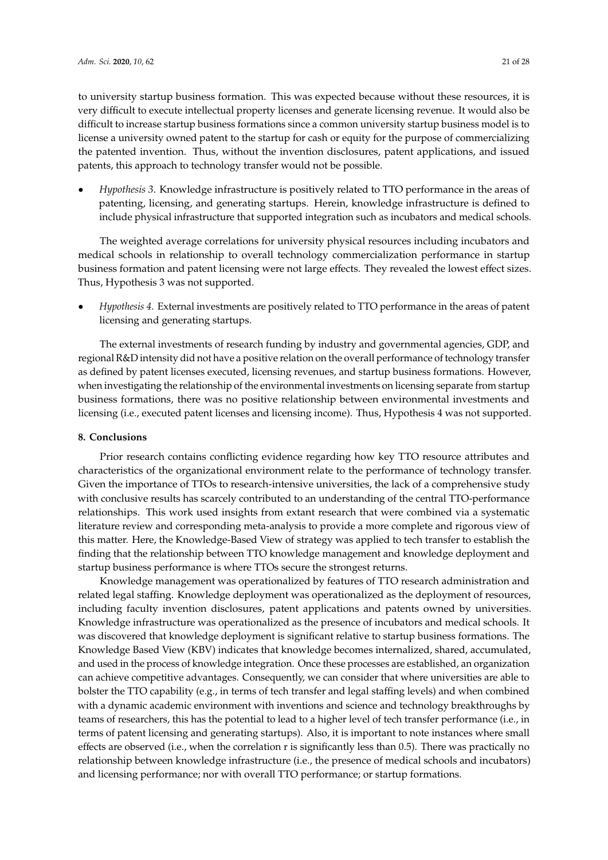to university startup business formation. This was expected because without these resources, it is very difficult to execute intellectual property licenses and generate licensing revenue. It would also be difficult to increase startup business formations since a common university startup business model is to license a university owned patent to the startup for cash or equity for the purpose of commercializing the patented invention. Thus, without the invention disclosures, patent applications, and issued patents, this approach to technology transfer would not be possible.

• *Hypothesis 3*. Knowledge infrastructure is positively related to TTO performance in the areas of patenting, licensing, and generating startups. Herein, knowledge infrastructure is defined to include physical infrastructure that supported integration such as incubators and medical schools.

The weighted average correlations for university physical resources including incubators and medical schools in relationship to overall technology commercialization performance in startup business formation and patent licensing were not large effects. They revealed the lowest effect sizes. Thus, Hypothesis 3 was not supported.

• *Hypothesis 4*. External investments are positively related to TTO performance in the areas of patent licensing and generating startups.

The external investments of research funding by industry and governmental agencies, GDP, and regional R&D intensity did not have a positive relation on the overall performance of technology transfer as defined by patent licenses executed, licensing revenues, and startup business formations. However, when investigating the relationship of the environmental investments on licensing separate from startup business formations, there was no positive relationship between environmental investments and licensing (i.e., executed patent licenses and licensing income). Thus, Hypothesis 4 was not supported.

#### **8. Conclusions**

Prior research contains conflicting evidence regarding how key TTO resource attributes and characteristics of the organizational environment relate to the performance of technology transfer. Given the importance of TTOs to research-intensive universities, the lack of a comprehensive study with conclusive results has scarcely contributed to an understanding of the central TTO-performance relationships. This work used insights from extant research that were combined via a systematic literature review and corresponding meta-analysis to provide a more complete and rigorous view of this matter. Here, the Knowledge-Based View of strategy was applied to tech transfer to establish the finding that the relationship between TTO knowledge management and knowledge deployment and startup business performance is where TTOs secure the strongest returns.

Knowledge management was operationalized by features of TTO research administration and related legal staffing. Knowledge deployment was operationalized as the deployment of resources, including faculty invention disclosures, patent applications and patents owned by universities. Knowledge infrastructure was operationalized as the presence of incubators and medical schools. It was discovered that knowledge deployment is significant relative to startup business formations. The Knowledge Based View (KBV) indicates that knowledge becomes internalized, shared, accumulated, and used in the process of knowledge integration. Once these processes are established, an organization can achieve competitive advantages. Consequently, we can consider that where universities are able to bolster the TTO capability (e.g., in terms of tech transfer and legal staffing levels) and when combined with a dynamic academic environment with inventions and science and technology breakthroughs by teams of researchers, this has the potential to lead to a higher level of tech transfer performance (i.e., in terms of patent licensing and generating startups). Also, it is important to note instances where small effects are observed (i.e., when the correlation r is significantly less than 0.5). There was practically no relationship between knowledge infrastructure (i.e., the presence of medical schools and incubators) and licensing performance; nor with overall TTO performance; or startup formations.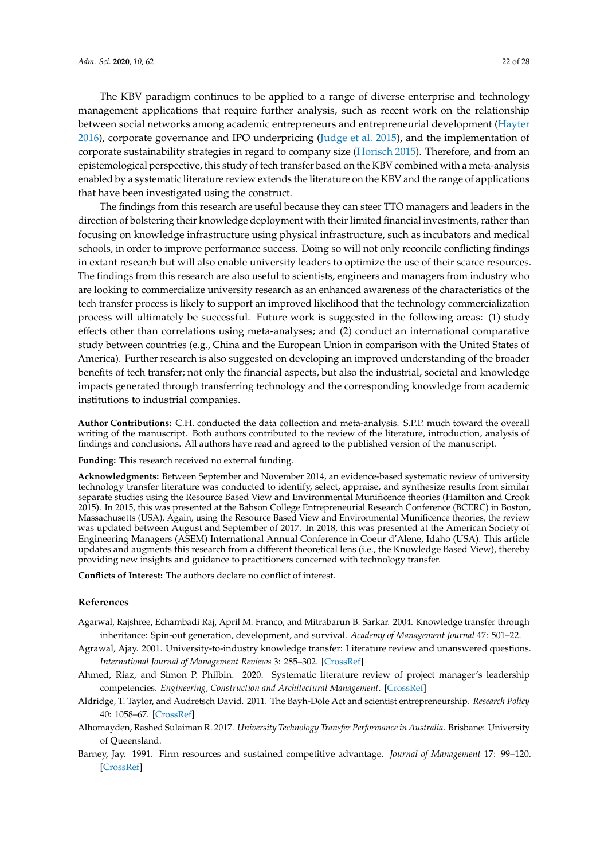The KBV paradigm continues to be applied to a range of diverse enterprise and technology management applications that require further analysis, such as recent work on the relationship between social networks among academic entrepreneurs and entrepreneurial development [\(Hayter](#page-24-20) [2016\)](#page-24-20), corporate governance and IPO underpricing [\(Judge et al.](#page-24-21) [2015\)](#page-24-21), and the implementation of corporate sustainability strategies in regard to company size [\(Horisch](#page-24-22) [2015\)](#page-24-22). Therefore, and from an epistemological perspective, this study of tech transfer based on the KBV combined with a meta-analysis enabled by a systematic literature review extends the literature on the KBV and the range of applications that have been investigated using the construct.

The findings from this research are useful because they can steer TTO managers and leaders in the direction of bolstering their knowledge deployment with their limited financial investments, rather than focusing on knowledge infrastructure using physical infrastructure, such as incubators and medical schools, in order to improve performance success. Doing so will not only reconcile conflicting findings in extant research but will also enable university leaders to optimize the use of their scarce resources. The findings from this research are also useful to scientists, engineers and managers from industry who are looking to commercialize university research as an enhanced awareness of the characteristics of the tech transfer process is likely to support an improved likelihood that the technology commercialization process will ultimately be successful. Future work is suggested in the following areas: (1) study effects other than correlations using meta-analyses; and (2) conduct an international comparative study between countries (e.g., China and the European Union in comparison with the United States of America). Further research is also suggested on developing an improved understanding of the broader benefits of tech transfer; not only the financial aspects, but also the industrial, societal and knowledge impacts generated through transferring technology and the corresponding knowledge from academic institutions to industrial companies.

<span id="page-21-3"></span>**Author Contributions:** C.H. conducted the data collection and meta-analysis. S.P.P. much toward the overall writing of the manuscript. Both authors contributed to the review of the literature, introduction, analysis of findings and conclusions. All authors have read and agreed to the published version of the manuscript.

**Funding:** This research received no external funding.

**Acknowledgments:** Between September and November 2014, an evidence-based systematic review of university technology transfer literature was conducted to identify, select, appraise, and synthesize results from similar separate studies using the Resource Based View and Environmental Munificence theories (Hamilton and Crook 2015). In 2015, this was presented at the Babson College Entrepreneurial Research Conference (BCERC) in Boston, Massachusetts (USA). Again, using the Resource Based View and Environmental Munificence theories, the review was updated between August and September of 2017. In 2018, this was presented at the American Society of Engineering Managers (ASEM) International Annual Conference in Coeur d'Alene, Idaho (USA). This article updates and augments this research from a different theoretical lens (i.e., the Knowledge Based View), thereby providing new insights and guidance to practitioners concerned with technology transfer.

**Conflicts of Interest:** The authors declare no conflict of interest.

#### **References**

- <span id="page-21-1"></span>Agarwal, Rajshree, Echambadi Raj, April M. Franco, and Mitrabarun B. Sarkar. 2004. Knowledge transfer through inheritance: Spin-out generation, development, and survival. *Academy of Management Journal* 47: 501–22.
- <span id="page-21-2"></span>Agrawal, Ajay. 2001. University-to-industry knowledge transfer: Literature review and unanswered questions. *International Journal of Management Reviews* 3: 285–302. [\[CrossRef\]](http://dx.doi.org/10.1111/1468-2370.00069)
- <span id="page-21-4"></span>Ahmed, Riaz, and Simon P. Philbin. 2020. Systematic literature review of project manager's leadership competencies. *Engineering, Construction and Architectural Management*. [\[CrossRef\]](http://dx.doi.org/10.1108/ECAM-05-2019-0276)
- <span id="page-21-6"></span>Aldridge, T. Taylor, and Audretsch David. 2011. The Bayh-Dole Act and scientist entrepreneurship. *Research Policy* 40: 1058–67. [\[CrossRef\]](http://dx.doi.org/10.1016/j.respol.2011.04.006)
- <span id="page-21-5"></span>Alhomayden, Rashed Sulaiman R. 2017. *University Technology Transfer Performance in Australia*. Brisbane: University of Queensland.
- <span id="page-21-0"></span>Barney, Jay. 1991. Firm resources and sustained competitive advantage. *Journal of Management* 17: 99–120. [\[CrossRef\]](http://dx.doi.org/10.1177/014920639101700108)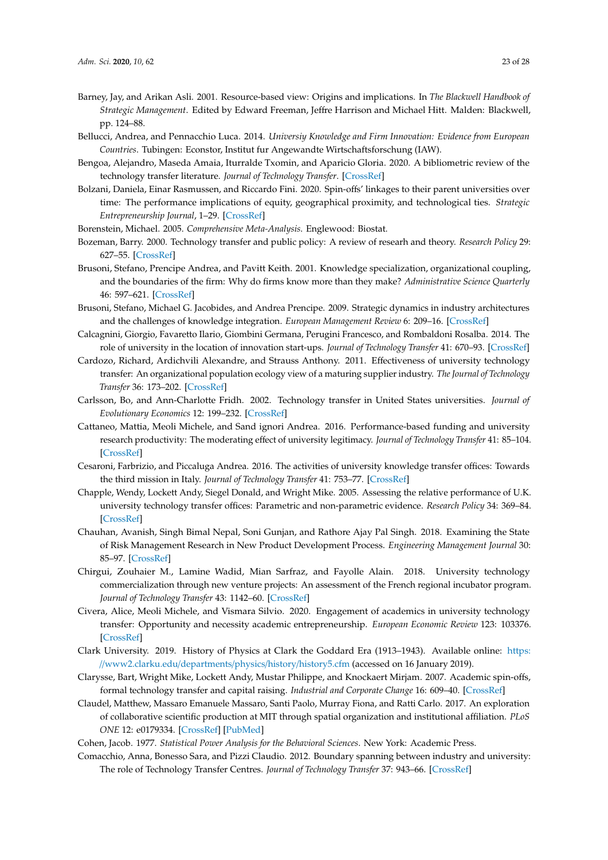- <span id="page-22-14"></span><span id="page-22-13"></span><span id="page-22-12"></span><span id="page-22-3"></span>Barney, Jay, and Arikan Asli. 2001. Resource-based view: Origins and implications. In *The Blackwell Handbook of Strategic Management*. Edited by Edward Freeman, Jeffre Harrison and Michael Hitt. Malden: Blackwell, pp. 124–88.
- <span id="page-22-20"></span>Bellucci, Andrea, and Pennacchio Luca. 2014. *Universiy Knowledge and Firm Innovation: Evidence from European Countries*. Tubingen: Econstor, Institut fur Angewandte Wirtschaftsforschung (IAW).
- <span id="page-22-11"></span>Bengoa, Alejandro, Maseda Amaia, Iturralde Txomin, and Aparicio Gloria. 2020. A bibliometric review of the technology transfer literature. *Journal of Technology Transfer*. [\[CrossRef\]](http://dx.doi.org/10.1007/s10961-019-09774-5)
- <span id="page-22-9"></span>Bolzani, Daniela, Einar Rasmussen, and Riccardo Fini. 2020. Spin-offs' linkages to their parent universities over time: The performance implications of equity, geographical proximity, and technological ties. *Strategic Entrepreneurship Journal*, 1–29. [\[CrossRef\]](http://dx.doi.org/10.1002/sej.1359)
- <span id="page-22-19"></span>Borenstein, Michael. 2005. *Comprehensive Meta-Analysis*. Englewood: Biostat.
- <span id="page-22-10"></span>Bozeman, Barry. 2000. Technology transfer and public policy: A review of researh and theory. *Research Policy* 29: 627–55. [\[CrossRef\]](http://dx.doi.org/10.1016/S0048-7333(99)00093-1)
- <span id="page-22-5"></span>Brusoni, Stefano, Prencipe Andrea, and Pavitt Keith. 2001. Knowledge specialization, organizational coupling, and the boundaries of the firm: Why do firms know more than they make? *Administrative Science Quarterly* 46: 597–621. [\[CrossRef\]](http://dx.doi.org/10.2307/3094825)
- <span id="page-22-4"></span>Brusoni, Stefano, Michael G. Jacobides, and Andrea Prencipe. 2009. Strategic dynamics in industry architectures and the challenges of knowledge integration. *European Management Review* 6: 209–16. [\[CrossRef\]](http://dx.doi.org/10.1057/emr.2009.26)
- <span id="page-22-16"></span>Calcagnini, Giorgio, Favaretto Ilario, Giombini Germana, Perugini Francesco, and Rombaldoni Rosalba. 2014. The role of university in the location of innovation start-ups. *Journal of Technology Transfer* 41: 670–93. [\[CrossRef\]](http://dx.doi.org/10.1007/s10961-015-9396-9)
- <span id="page-22-7"></span>Cardozo, Richard, Ardichvili Alexandre, and Strauss Anthony. 2011. Effectiveness of university technology transfer: An organizational population ecology view of a maturing supplier industry. *The Journal of Technology Transfer* 36: 173–202. [\[CrossRef\]](http://dx.doi.org/10.1007/s10961-010-9151-1)
- <span id="page-22-6"></span>Carlsson, Bo, and Ann-Charlotte Fridh. 2002. Technology transfer in United States universities. *Journal of Evolutionary Economics* 12: 199–232. [\[CrossRef\]](http://dx.doi.org/10.1007/s00191-002-0105-0)
- <span id="page-22-21"></span>Cattaneo, Mattia, Meoli Michele, and Sand ignori Andrea. 2016. Performance-based funding and university research productivity: The moderating effect of university legitimacy. *Journal of Technology Transfer* 41: 85–104. [\[CrossRef\]](http://dx.doi.org/10.1007/s10961-014-9379-2)
- <span id="page-22-17"></span>Cesaroni, Farbrizio, and Piccaluga Andrea. 2016. The activities of university knowledge transfer offices: Towards the third mission in Italy. *Journal of Technology Transfer* 41: 753–77. [\[CrossRef\]](http://dx.doi.org/10.1007/s10961-015-9401-3)
- <span id="page-22-1"></span>Chapple, Wendy, Lockett Andy, Siegel Donald, and Wright Mike. 2005. Assessing the relative performance of U.K. university technology transfer offices: Parametric and non-parametric evidence. *Research Policy* 34: 369–84. [\[CrossRef\]](http://dx.doi.org/10.1016/j.respol.2005.01.007)
- <span id="page-22-15"></span>Chauhan, Avanish, Singh Bimal Nepal, Soni Gunjan, and Rathore Ajay Pal Singh. 2018. Examining the State of Risk Management Research in New Product Development Process. *Engineering Management Journal* 30: 85–97. [\[CrossRef\]](http://dx.doi.org/10.1080/10429247.2018.1446120)
- <span id="page-22-22"></span>Chirgui, Zouhaier M., Lamine Wadid, Mian Sarfraz, and Fayolle Alain. 2018. University technology commercialization through new venture projects: An assessment of the French regional incubator program. *Journal of Technology Transfer* 43: 1142–60. [\[CrossRef\]](http://dx.doi.org/10.1007/s10961-016-9535-y)
- <span id="page-22-18"></span>Civera, Alice, Meoli Michele, and Vismara Silvio. 2020. Engagement of academics in university technology transfer: Opportunity and necessity academic entrepreneurship. *European Economic Review* 123: 103376. [\[CrossRef\]](http://dx.doi.org/10.1016/j.euroecorev.2020.103376)
- <span id="page-22-0"></span>Clark University. 2019. History of Physics at Clark the Goddard Era (1913–1943). Available online: [https:](https://www2.clarku.edu/departments/physics/history/history5.cfm) //[www2.clarku.edu](https://www2.clarku.edu/departments/physics/history/history5.cfm)/departments/physics/history/history5.cfm (accessed on 16 January 2019).
- <span id="page-22-2"></span>Clarysse, Bart, Wright Mike, Lockett Andy, Mustar Philippe, and Knockaert Mirjam. 2007. Academic spin-offs, formal technology transfer and capital raising. *Industrial and Corporate Change* 16: 609–40. [\[CrossRef\]](http://dx.doi.org/10.1093/icc/dtm019)
- <span id="page-22-8"></span>Claudel, Matthew, Massaro Emanuele Massaro, Santi Paolo, Murray Fiona, and Ratti Carlo. 2017. An exploration of collaborative scientific production at MIT through spatial organization and institutional affiliation. *PLoS ONE* 12: e0179334. [\[CrossRef\]](http://dx.doi.org/10.1371/journal.pone.0179334) [\[PubMed\]](http://www.ncbi.nlm.nih.gov/pubmed/28640829)

<span id="page-22-24"></span>Cohen, Jacob. 1977. *Statistical Power Analysis for the Behavioral Sciences*. New York: Academic Press.

<span id="page-22-23"></span>Comacchio, Anna, Bonesso Sara, and Pizzi Claudio. 2012. Boundary spanning between industry and university: The role of Technology Transfer Centres. *Journal of Technology Transfer* 37: 943–66. [\[CrossRef\]](http://dx.doi.org/10.1007/s10961-011-9227-6)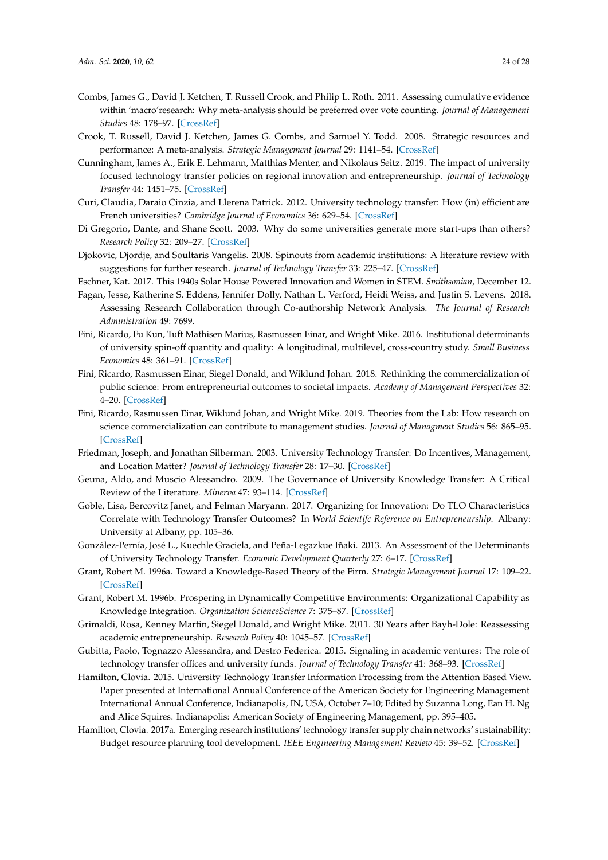- <span id="page-23-23"></span><span id="page-23-17"></span><span id="page-23-15"></span>Combs, James G., David J. Ketchen, T. Russell Crook, and Philip L. Roth. 2011. Assessing cumulative evidence within 'macro'research: Why meta-analysis should be preferred over vote counting. *Journal of Management Studies* 48: 178–97. [\[CrossRef\]](http://dx.doi.org/10.1111/j.1467-6486.2009.00899.x)
- <span id="page-23-24"></span>Crook, T. Russell, David J. Ketchen, James G. Combs, and Samuel Y. Todd. 2008. Strategic resources and performance: A meta-analysis. *Strategic Management Journal* 29: 1141–54. [\[CrossRef\]](http://dx.doi.org/10.1002/smj.703)
- <span id="page-23-19"></span><span id="page-23-18"></span>Cunningham, James A., Erik E. Lehmann, Matthias Menter, and Nikolaus Seitz. 2019. The impact of university focused technology transfer policies on regional innovation and entrepreneurship. *Journal of Technology Transfer* 44: 1451–75. [\[CrossRef\]](http://dx.doi.org/10.1007/s10961-019-09733-0)
- <span id="page-23-3"></span>Curi, Claudia, Daraio Cinzia, and Llerena Patrick. 2012. University technology transfer: How (in) efficient are French universities? *Cambridge Journal of Economics* 36: 629–54. [\[CrossRef\]](http://dx.doi.org/10.1093/cje/bes020)
- <span id="page-23-16"></span><span id="page-23-9"></span>Di Gregorio, Dante, and Shane Scott. 2003. Why do some universities generate more start-ups than others? *Research Policy* 32: 209–27. [\[CrossRef\]](http://dx.doi.org/10.1016/S0048-7333(02)00097-5)
- <span id="page-23-10"></span>Djokovic, Djordje, and Soultaris Vangelis. 2008. Spinouts from academic institutions: A literature review with suggestions for further research. *Journal of Technology Transfer* 33: 225–47. [\[CrossRef\]](http://dx.doi.org/10.1007/s10961-006-9000-4)
- <span id="page-23-8"></span><span id="page-23-0"></span>Eschner, Kat. 2017. This 1940s Solar House Powered Innovation and Women in STEM. *Smithsonian*, December 12. Fagan, Jesse, Katherine S. Eddens, Jennifer Dolly, Nathan L. Verford, Heidi Weiss, and Justin S. Levens. 2018.
- Assessing Research Collaboration through Co-authorship Network Analysis. *The Journal of Research Administration* 49: 7699.
- <span id="page-23-20"></span>Fini, Ricardo, Fu Kun, Tuft Mathisen Marius, Rasmussen Einar, and Wright Mike. 2016. Institutional determinants of university spin-off quantity and quality: A longitudinal, multilevel, cross-country study. *Small Business Economics* 48: 361–91. [\[CrossRef\]](http://dx.doi.org/10.1007/s11187-016-9779-9)
- <span id="page-23-13"></span>Fini, Ricardo, Rasmussen Einar, Siegel Donald, and Wiklund Johan. 2018. Rethinking the commercialization of public science: From entrepreneurial outcomes to societal impacts. *Academy of Management Perspectives* 32: 4–20. [\[CrossRef\]](http://dx.doi.org/10.5465/amp.2017.0206)
- <span id="page-23-14"></span>Fini, Ricardo, Rasmussen Einar, Wiklund Johan, and Wright Mike. 2019. Theories from the Lab: How research on science commercialization can contribute to management studies. *Journal of Managment Studies* 56: 865–95. [\[CrossRef\]](http://dx.doi.org/10.1111/joms.12424)
- <span id="page-23-2"></span>Friedman, Joseph, and Jonathan Silberman. 2003. University Technology Transfer: Do Incentives, Management, and Location Matter? *Journal of Technology Transfer* 28: 17–30. [\[CrossRef\]](http://dx.doi.org/10.1023/A:1021674618658)
- <span id="page-23-11"></span>Geuna, Aldo, and Muscio Alessandro. 2009. The Governance of University Knowledge Transfer: A Critical Review of the Literature. *Minerva* 47: 93–114. [\[CrossRef\]](http://dx.doi.org/10.1007/s11024-009-9118-2)
- <span id="page-23-21"></span>Goble, Lisa, Bercovitz Janet, and Felman Maryann. 2017. Organizing for Innovation: Do TLO Characteristics Correlate with Technology Transfer Outcomes? In *World Scientifc Reference on Entrepreneurship*. Albany: University at Albany, pp. 105–36.
- <span id="page-23-5"></span>González-Pernía, José L., Kuechle Graciela, and Peña-Legazkue Iñaki. 2013. An Assessment of the Determinants of University Technology Transfer. *Economic Development Quarterly* 27: 6–17. [\[CrossRef\]](http://dx.doi.org/10.1177/0891242412471847)
- <span id="page-23-6"></span>Grant, Robert M. 1996a. Toward a Knowledge-Based Theory of the Firm. *Strategic Management Journal* 17: 109–22. [\[CrossRef\]](http://dx.doi.org/10.1002/smj.4250171110)
- <span id="page-23-7"></span>Grant, Robert M. 1996b. Prospering in Dynamically Competitive Environments: Organizational Capability as Knowledge Integration. *Organization ScienceScience* 7: 375–87. [\[CrossRef\]](http://dx.doi.org/10.1287/orsc.7.4.375)
- <span id="page-23-12"></span>Grimaldi, Rosa, Kenney Martin, Siegel Donald, and Wright Mike. 2011. 30 Years after Bayh-Dole: Reassessing academic entrepreneurship. *Research Policy* 40: 1045–57. [\[CrossRef\]](http://dx.doi.org/10.1016/j.respol.2011.04.005)
- <span id="page-23-22"></span>Gubitta, Paolo, Tognazzo Alessandra, and Destro Federica. 2015. Signaling in academic ventures: The role of technology transfer offices and university funds. *Journal of Technology Transfer* 41: 368–93. [\[CrossRef\]](http://dx.doi.org/10.1007/s10961-015-9398-7)
- <span id="page-23-4"></span>Hamilton, Clovia. 2015. University Technology Transfer Information Processing from the Attention Based View. Paper presented at International Annual Conference of the American Society for Engineering Management International Annual Conference, Indianapolis, IN, USA, October 7–10; Edited by Suzanna Long, Ean H. Ng and Alice Squires. Indianapolis: American Society of Engineering Management, pp. 395–405.
- <span id="page-23-1"></span>Hamilton, Clovia. 2017a. Emerging research institutions' technology transfer supply chain networks' sustainability: Budget resource planning tool development. *IEEE Engineering Management Review* 45: 39–52. [\[CrossRef\]](http://dx.doi.org/10.1109/EMR.2017.2768505)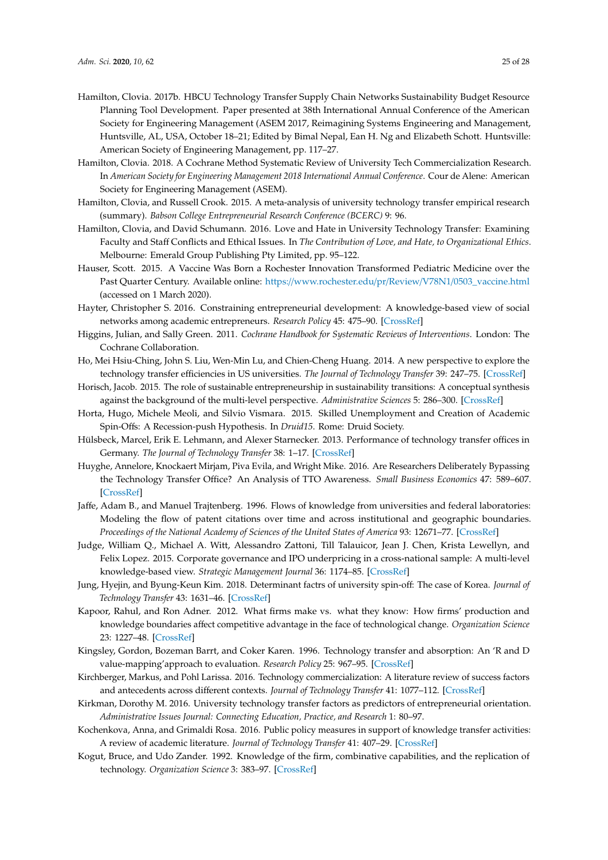- <span id="page-24-1"></span>Hamilton, Clovia. 2017b. HBCU Technology Transfer Supply Chain Networks Sustainability Budget Resource Planning Tool Development. Paper presented at 38th International Annual Conference of the American Society for Engineering Management (ASEM 2017, Reimagining Systems Engineering and Management, Huntsville, AL, USA, October 18–21; Edited by Bimal Nepal, Ean H. Ng and Elizabeth Schott. Huntsville: American Society of Engineering Management, pp. 117–27.
- <span id="page-24-14"></span>Hamilton, Clovia. 2018. A Cochrane Method Systematic Review of University Tech Commercialization Research. In *American Society for Engineering Management 2018 International Annual Conference*. Cour de Alene: American Society for Engineering Management (ASEM).
- <span id="page-24-13"></span>Hamilton, Clovia, and Russell Crook. 2015. A meta-analysis of university technology transfer empirical research (summary). *Babson College Entrepreneurial Research Conference (BCERC)* 9: 96.
- <span id="page-24-2"></span>Hamilton, Clovia, and David Schumann. 2016. Love and Hate in University Technology Transfer: Examining Faculty and Staff Conflicts and Ethical Issues. In *The Contribution of Love, and Hate, to Organizational Ethics*. Melbourne: Emerald Group Publishing Pty Limited, pp. 95–122.
- <span id="page-24-0"></span>Hauser, Scott. 2015. A Vaccine Was Born a Rochester Innovation Transformed Pediatric Medicine over the Past Quarter Century. Available online: https://[www.rochester.edu](https://www.rochester.edu/pr/Review/V78N1/0503_vaccine.html)/pr/Review/V78N1/0503\_vaccine.html (accessed on 1 March 2020).
- <span id="page-24-20"></span>Hayter, Christopher S. 2016. Constraining entrepreneurial development: A knowledge-based view of social networks among academic entrepreneurs. *Research Policy* 45: 475–90. [\[CrossRef\]](http://dx.doi.org/10.1016/j.respol.2015.11.003)
- <span id="page-24-15"></span>Higgins, Julian, and Sally Green. 2011. *Cochrane Handbook for Systematic Reviews of Interventions*. London: The Cochrane Collaboration.
- <span id="page-24-8"></span>Ho, Mei Hsiu-Ching, John S. Liu, Wen-Min Lu, and Chien-Cheng Huang. 2014. A new perspective to explore the technology transfer efficiencies in US universities. *The Journal of Technology Transfer* 39: 247–75. [\[CrossRef\]](http://dx.doi.org/10.1007/s10961-013-9298-7)
- <span id="page-24-22"></span>Horisch, Jacob. 2015. The role of sustainable entrepreneurship in sustainability transitions: A conceptual synthesis against the background of the multi-level perspective. *Administrative Sciences* 5: 286–300. [\[CrossRef\]](http://dx.doi.org/10.3390/admsci5040286)
- <span id="page-24-16"></span><span id="page-24-11"></span>Horta, Hugo, Michele Meoli, and Silvio Vismara. 2015. Skilled Unemployment and Creation of Academic Spin-Offs: A Recession-push Hypothesis. In *Druid15*. Rome: Druid Society.
- <span id="page-24-3"></span>Hülsbeck, Marcel, Erik E. Lehmann, and Alexer Starnecker. 2013. Performance of technology transfer offices in Germany. *The Journal of Technology Transfer* 38: 1–17. [\[CrossRef\]](http://dx.doi.org/10.1007/s10961-011-9243-6)
- <span id="page-24-17"></span><span id="page-24-12"></span>Huyghe, Annelore, Knockaert Mirjam, Piva Evila, and Wright Mike. 2016. Are Researchers Deliberately Bypassing the Technology Transfer Office? An Analysis of TTO Awareness. *Small Business Economics* 47: 589–607. [\[CrossRef\]](http://dx.doi.org/10.1007/s11187-016-9757-2)
- <span id="page-24-5"></span>Jaffe, Adam B., and Manuel Trajtenberg. 1996. Flows of knowledge from universities and federal laboratories: Modeling the flow of patent citations over time and across institutional and geographic boundaries. *Proceedings of the National Academy of Sciences of the United States of America* 93: 12671–77. [\[CrossRef\]](http://dx.doi.org/10.1073/pnas.93.23.12671)
- <span id="page-24-21"></span>Judge, William Q., Michael A. Witt, Alessandro Zattoni, Till Talauicor, Jean J. Chen, Krista Lewellyn, and Felix Lopez. 2015. Corporate governance and IPO underpricing in a cross-national sample: A multi-level knowledge-based view. *Strategic Management Journal* 36: 1174–85. [\[CrossRef\]](http://dx.doi.org/10.1002/smj.2275)
- <span id="page-24-18"></span>Jung, Hyejin, and Byung-Keun Kim. 2018. Determinant factrs of university spin-off: The case of Korea. *Journal of Technology Transfer* 43: 1631–46. [\[CrossRef\]](http://dx.doi.org/10.1007/s10961-017-9571-2)
- <span id="page-24-7"></span>Kapoor, Rahul, and Ron Adner. 2012. What firms make vs. what they know: How firms' production and knowledge boundaries affect competitive advantage in the face of technological change. *Organization Science* 23: 1227–48. [\[CrossRef\]](http://dx.doi.org/10.1287/orsc.1110.0686)
- <span id="page-24-6"></span>Kingsley, Gordon, Bozeman Barrt, and Coker Karen. 1996. Technology transfer and absorption: An 'R and D value-mapping'approach to evaluation. *Research Policy* 25: 967–95. [\[CrossRef\]](http://dx.doi.org/10.1016/0048-7333(96)00890-6)
- <span id="page-24-9"></span>Kirchberger, Markus, and Pohl Larissa. 2016. Technology commercialization: A literature review of success factors and antecedents across different contexts. *Journal of Technology Transfer* 41: 1077–112. [\[CrossRef\]](http://dx.doi.org/10.1007/s10961-016-9486-3)
- <span id="page-24-19"></span>Kirkman, Dorothy M. 2016. University technology transfer factors as predictors of entrepreneurial orientation. *Administrative Issues Journal: Connecting Education, Practice, and Research* 1: 80–97.
- <span id="page-24-10"></span>Kochenkova, Anna, and Grimaldi Rosa. 2016. Public policy measures in support of knowledge transfer activities: A review of academic literature. *Journal of Technology Transfer* 41: 407–29. [\[CrossRef\]](http://dx.doi.org/10.1007/s10961-015-9416-9)
- <span id="page-24-4"></span>Kogut, Bruce, and Udo Zander. 1992. Knowledge of the firm, combinative capabilities, and the replication of technology. *Organization Science* 3: 383–97. [\[CrossRef\]](http://dx.doi.org/10.1287/orsc.3.3.383)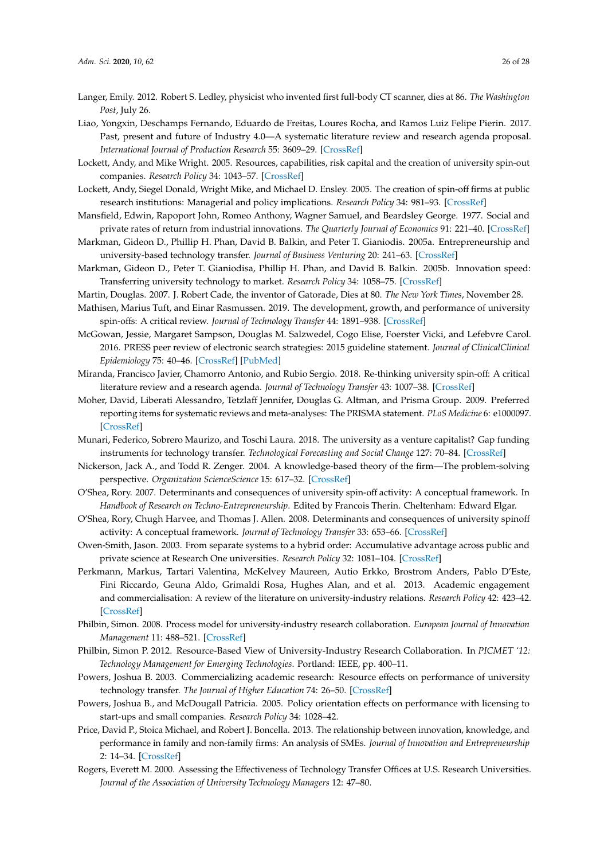- <span id="page-25-23"></span><span id="page-25-0"></span>Langer, Emily. 2012. Robert S. Ledley, physicist who invented first full-body CT scanner, dies at 86. *The Washington Post*, July 26.
- <span id="page-25-24"></span><span id="page-25-22"></span>Liao, Yongxin, Deschamps Fernando, Eduardo de Freitas, Loures Rocha, and Ramos Luiz Felipe Pierin. 2017. Past, present and future of Industry 4.0—A systematic literature review and research agenda proposal. *International Journal of Production Research* 55: 3609–29. [\[CrossRef\]](http://dx.doi.org/10.1080/00207543.2017.1308576)
- <span id="page-25-2"></span>Lockett, Andy, and Mike Wright. 2005. Resources, capabilities, risk capital and the creation of university spin-out companies. *Research Policy* 34: 1043–57. [\[CrossRef\]](http://dx.doi.org/10.1016/j.respol.2005.05.006)
- <span id="page-25-12"></span>Lockett, Andy, Siegel Donald, Wright Mike, and Michael D. Ensley. 2005. The creation of spin-off firms at public research institutions: Managerial and policy implications. *Research Policy* 34: 981–93. [\[CrossRef\]](http://dx.doi.org/10.1016/j.respol.2005.05.010)
- <span id="page-25-6"></span>Mansfield, Edwin, Rapoport John, Romeo Anthony, Wagner Samuel, and Beardsley George. 1977. Social and private rates of return from industrial innovations. *The Quarterly Journal of Economics* 91: 221–40. [\[CrossRef\]](http://dx.doi.org/10.2307/1885415)
- <span id="page-25-19"></span><span id="page-25-3"></span>Markman, Gideon D., Phillip H. Phan, David B. Balkin, and Peter T. Gianiodis. 2005a. Entrepreneurship and university-based technology transfer. *Journal of Business Venturing* 20: 241–63. [\[CrossRef\]](http://dx.doi.org/10.1016/j.jbusvent.2003.12.003)
- <span id="page-25-20"></span><span id="page-25-13"></span>Markman, Gideon D., Peter T. Gianiodisa, Phillip H. Phan, and David B. Balkin. 2005b. Innovation speed: Transferring university technology to market. *Research Policy* 34: 1058–75. [\[CrossRef\]](http://dx.doi.org/10.1016/j.respol.2005.05.007)
- <span id="page-25-1"></span>Martin, Douglas. 2007. J. Robert Cade, the inventor of Gatorade, Dies at 80. *The New York Times*, November 28.
- <span id="page-25-21"></span><span id="page-25-18"></span>Mathisen, Marius Tuft, and Einar Rasmussen. 2019. The development, growth, and performance of university spin-offs: A critical review. *Journal of Technology Transfer* 44: 1891–938. [\[CrossRef\]](http://dx.doi.org/10.1007/s10961-018-09714-9)
- <span id="page-25-25"></span>McGowan, Jessie, Margaret Sampson, Douglas M. Salzwedel, Cogo Elise, Foerster Vicki, and Lefebvre Carol. 2016. PRESS peer review of electronic search strategies: 2015 guideline statement. *Journal of ClinicalClinical Epidemiology* 75: 40–46. [\[CrossRef\]](http://dx.doi.org/10.1016/j.jclinepi.2016.01.021) [\[PubMed\]](http://www.ncbi.nlm.nih.gov/pubmed/27005575)
- <span id="page-25-17"></span>Miranda, Francisco Javier, Chamorro Antonio, and Rubio Sergio. 2018. Re-thinking university spin-off: A critical literature review and a research agenda. *Journal of Technology Transfer* 43: 1007–38. [\[CrossRef\]](http://dx.doi.org/10.1007/s10961-017-9647-z)
- <span id="page-25-26"></span>Moher, David, Liberati Alessandro, Tetzlaff Jennifer, Douglas G. Altman, and Prisma Group. 2009. Preferred reporting items for systematic reviews and meta-analyses: The PRISMA statement. *PLoS Medicine* 6: e1000097. [\[CrossRef\]](http://dx.doi.org/10.1371/journal.pmed.1000097)
- <span id="page-25-27"></span>Munari, Federico, Sobrero Maurizo, and Toschi Laura. 2018. The university as a venture capitalist? Gap funding instruments for technology transfer. *Technological Forecasting and Social Change* 127: 70–84. [\[CrossRef\]](http://dx.doi.org/10.1016/j.techfore.2017.07.024)
- <span id="page-25-8"></span>Nickerson, Jack A., and Todd R. Zenger. 2004. A knowledge-based theory of the firm—The problem-solving perspective. *Organization ScienceScience* 15: 617–32. [\[CrossRef\]](http://dx.doi.org/10.1287/orsc.1040.0093)
- <span id="page-25-14"></span>O'Shea, Rory. 2007. Determinants and consequences of university spin-off activity: A conceptual framework. In *Handbook of Research on Techno-Entrepreneurship*. Edited by Francois Therin. Cheltenham: Edward Elgar.
- <span id="page-25-15"></span>O'Shea, Rory, Chugh Harvee, and Thomas J. Allen. 2008. Determinants and consequences of university spinoff activity: A conceptual framework. *Journal of Technology Transfer* 33: 653–66. [\[CrossRef\]](http://dx.doi.org/10.1007/s10961-007-9060-0)
- <span id="page-25-28"></span>Owen-Smith, Jason. 2003. From separate systems to a hybrid order: Accumulative advantage across public and private science at Research One universities. *Research Policy* 32: 1081–104. [\[CrossRef\]](http://dx.doi.org/10.1016/S0048-7333(02)00111-7)
- <span id="page-25-16"></span>Perkmann, Markus, Tartari Valentina, McKelvey Maureen, Autio Erkko, Brostrom Anders, Pablo D'Este, Fini Riccardo, Geuna Aldo, Grimaldi Rosa, Hughes Alan, and et al. 2013. Academic engagement and commercialisation: A review of the literature on university-industry relations. *Research Policy* 42: 423–42. [\[CrossRef\]](http://dx.doi.org/10.1016/j.respol.2012.09.007)
- <span id="page-25-7"></span>Philbin, Simon. 2008. Process model for university-industry research collaboration. *European Journal of Innovation Management* 11: 488–521. [\[CrossRef\]](http://dx.doi.org/10.1108/14601060810911138)
- <span id="page-25-4"></span>Philbin, Simon P. 2012. Resource-Based View of University-Industry Research Collaboration. In *PICMET '12: Technology Management for Emerging Technologies*. Portland: IEEE, pp. 400–11.
- <span id="page-25-11"></span>Powers, Joshua B. 2003. Commercializing academic research: Resource effects on performance of university technology transfer. *The Journal of Higher Education* 74: 26–50. [\[CrossRef\]](http://dx.doi.org/10.1080/00221546.2003.11777186)
- <span id="page-25-9"></span>Powers, Joshua B., and McDougall Patricia. 2005. Policy orientation effects on performance with licensing to start-ups and small companies. *Research Policy* 34: 1028–42.
- <span id="page-25-5"></span>Price, David P., Stoica Michael, and Robert J. Boncella. 2013. The relationship between innovation, knowledge, and performance in family and non-family firms: An analysis of SMEs. *Journal of Innovation and Entrepreneurship* 2: 14–34. [\[CrossRef\]](http://dx.doi.org/10.1186/2192-5372-2-14)
- <span id="page-25-10"></span>Rogers, Everett M. 2000. Assessing the Effectiveness of Technology Transfer Offices at U.S. Research Universities. *Journal of the Association of University Technology Managers* 12: 47–80.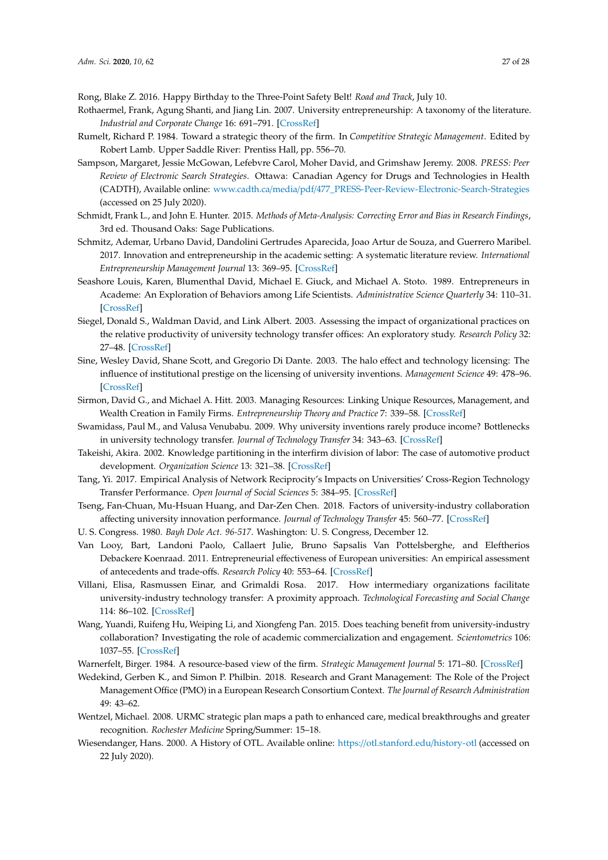<span id="page-26-18"></span><span id="page-26-17"></span><span id="page-26-2"></span>Rong, Blake Z. 2016. Happy Birthday to the Three-Point Safety Belt! *Road and Track*, July 10.

- <span id="page-26-15"></span>Rothaermel, Frank, Agung Shanti, and Jiang Lin. 2007. University entrepreneurship: A taxonomy of the literature. *Industrial and Corporate Change* 16: 691–791. [\[CrossRef\]](http://dx.doi.org/10.1093/icc/dtm023)
- <span id="page-26-8"></span>Rumelt, Richard P. 1984. Toward a strategic theory of the firm. In *Competitive Strategic Management*. Edited by Robert Lamb. Upper Saddle River: Prentiss Hall, pp. 556–70.
- <span id="page-26-19"></span>Sampson, Margaret, Jessie McGowan, Lefebvre Carol, Moher David, and Grimshaw Jeremy. 2008. *PRESS: Peer Review of Electronic Search Strategies*. Ottawa: Canadian Agency for Drugs and Technologies in Health (CADTH), Available online: www.cadth.ca/media/pdf/[477\\_PRESS-Peer-Review-Electronic-Search-Strategies](www.cadth.ca/media/pdf/477_PRESS-Peer-Review-Electronic-Search-Strategies) (accessed on 25 July 2020).
- <span id="page-26-20"></span>Schmidt, Frank L., and John E. Hunter. 2015. *Methods of Meta-Analysis: Correcting Error and Bias in Research Findings*, 3rd ed. Thousand Oaks: Sage Publications.
- <span id="page-26-16"></span>Schmitz, Ademar, Urbano David, Dandolini Gertrudes Aparecida, Joao Artur de Souza, and Guerrero Maribel. 2017. Innovation and entrepreneurship in the academic setting: A systematic literature review. *International Entrepreneurship Management Journal* 13: 369–95. [\[CrossRef\]](http://dx.doi.org/10.1007/s11365-016-0401-z)
- <span id="page-26-5"></span>Seashore Louis, Karen, Blumenthal David, Michael E. Giuck, and Michael A. Stoto. 1989. Entrepreneurs in Academe: An Exploration of Behaviors among Life Scientists. *Administrative Science Quarterly* 34: 110–31. [\[CrossRef\]](http://dx.doi.org/10.2307/2392988)
- <span id="page-26-6"></span>Siegel, Donald S., Waldman David, and Link Albert. 2003. Assessing the impact of organizational practices on the relative productivity of university technology transfer offices: An exploratory study. *Research Policy* 32: 27–48. [\[CrossRef\]](http://dx.doi.org/10.1016/S0048-7333(01)00196-2)
- <span id="page-26-12"></span>Sine, Wesley David, Shane Scott, and Gregorio Di Dante. 2003. The halo effect and technology licensing: The influence of institutional prestige on the licensing of university inventions. *Management Science* 49: 478–96. [\[CrossRef\]](http://dx.doi.org/10.1287/mnsc.49.4.478.14416)
- <span id="page-26-10"></span>Sirmon, David G., and Michael A. Hitt. 2003. Managing Resources: Linking Unique Resources, Management, and Wealth Creation in Family Firms. *Entrepreneurship Theory and Practice* 7: 339–58. [\[CrossRef\]](http://dx.doi.org/10.1111/1540-8520.t01-1-00013)
- <span id="page-26-13"></span>Swamidass, Paul M., and Valusa Venubabu. 2009. Why university inventions rarely produce income? Bottlenecks in university technology transfer. *Journal of Technology Transfer* 34: 343–63. [\[CrossRef\]](http://dx.doi.org/10.1007/s10961-008-9097-8)
- <span id="page-26-11"></span>Takeishi, Akira. 2002. Knowledge partitioning in the interfirm division of labor: The case of automotive product development. *Organization Science* 13: 321–38. [\[CrossRef\]](http://dx.doi.org/10.1287/orsc.13.3.321.2779)
- <span id="page-26-23"></span>Tang, Yi. 2017. Empirical Analysis of Network Reciprocity's Impacts on Universities' Cross-Region Technology Transfer Performance. *Open Journal of Social Sciences* 5: 384–95. [\[CrossRef\]](http://dx.doi.org/10.4236/jss.2017.55026)
- <span id="page-26-21"></span>Tseng, Fan-Chuan, Mu-Hsuan Huang, and Dar-Zen Chen. 2018. Factors of university-industry collaboration affecting university innovation performance. *Journal of Technology Transfer* 45: 560–77. [\[CrossRef\]](http://dx.doi.org/10.1007/s10961-018-9656-6)
- <span id="page-26-3"></span>U. S. Congress. 1980. *Bayh Dole Act. 96-517*. Washington: U. S. Congress, December 12.
- <span id="page-26-7"></span>Van Looy, Bart, Landoni Paolo, Callaert Julie, Bruno Sapsalis Van Pottelsberghe, and Eleftherios Debackere Koenraad. 2011. Entrepreneurial effectiveness of European universities: An empirical assessment of antecedents and trade-offs. *Research Policy* 40: 553–64. [\[CrossRef\]](http://dx.doi.org/10.1016/j.respol.2011.02.001)
- <span id="page-26-14"></span>Villani, Elisa, Rasmussen Einar, and Grimaldi Rosa. 2017. How intermediary organizations facilitate university-industry technology transfer: A proximity approach. *Technological Forecasting and Social Change* 114: 86–102. [\[CrossRef\]](http://dx.doi.org/10.1016/j.techfore.2016.06.004)
- <span id="page-26-22"></span>Wang, Yuandi, Ruifeng Hu, Weiping Li, and Xiongfeng Pan. 2015. Does teaching benefit from university-industry collaboration? Investigating the role of academic commercialization and engagement. *Scientometrics* 106: 1037–55. [\[CrossRef\]](http://dx.doi.org/10.1007/s11192-015-1818-9)

<span id="page-26-9"></span>Warnerfelt, Birger. 1984. A resource-based view of the firm. *Strategic Management Journal* 5: 171–80. [\[CrossRef\]](http://dx.doi.org/10.1002/smj.4250050207)

<span id="page-26-4"></span>Wedekind, Gerben K., and Simon P. Philbin. 2018. Research and Grant Management: The Role of the Project Management Office (PMO) in a European Research Consortium Context. *The Journal of Research Administration* 49: 43–62.

- <span id="page-26-1"></span>Wentzel, Michael. 2008. URMC strategic plan maps a path to enhanced care, medical breakthroughs and greater recognition. *Rochester Medicine* Spring/Summer: 15–18.
- <span id="page-26-0"></span>Wiesendanger, Hans. 2000. A History of OTL. Available online: https://[otl.stanford.edu](https://otl.stanford.edu/history-otl)/history-otl (accessed on 22 July 2020).